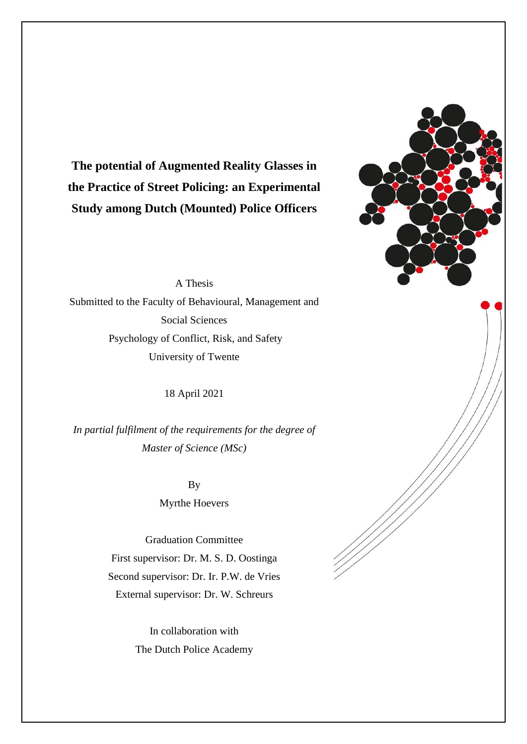

**The potential of Augmented Reality Glasses in the Practice of Street Policing: an Experimental Study among Dutch (Mounted) Police Officers**

A Thesis

Submitted to the Faculty of Behavioural, Management and Social Sciences Psychology of Conflict, Risk, and Safety University of Twente

18 April 2021

*In partial fulfilment of the requirements for the degree of Master of Science (MSc)*

> By Myrthe Hoevers

Graduation Committee First supervisor: Dr. M. S. D. Oostinga Second supervisor: Dr. Ir. P.W. de Vries External supervisor: Dr. W. Schreurs

> In collaboration with The Dutch Police Academy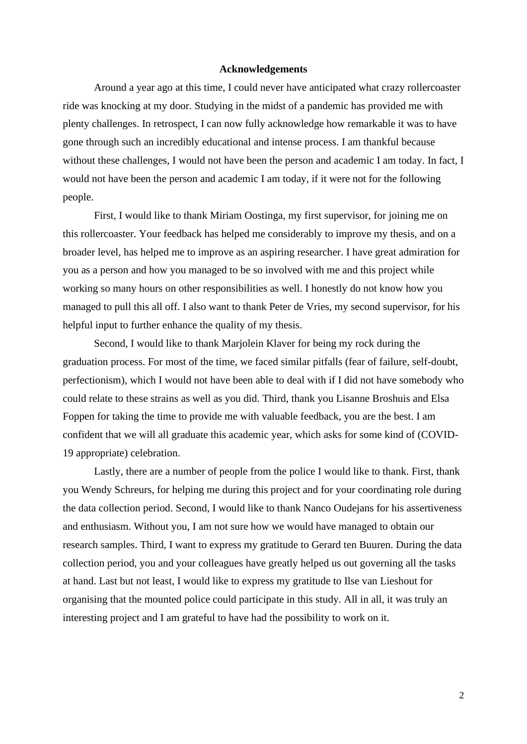## **Acknowledgements**

Around a year ago at this time, I could never have anticipated what crazy rollercoaster ride was knocking at my door. Studying in the midst of a pandemic has provided me with plenty challenges. In retrospect, I can now fully acknowledge how remarkable it was to have gone through such an incredibly educational and intense process. I am thankful because without these challenges, I would not have been the person and academic I am today. In fact, I would not have been the person and academic I am today, if it were not for the following people.

First, I would like to thank Miriam Oostinga, my first supervisor, for joining me on this rollercoaster. Your feedback has helped me considerably to improve my thesis, and on a broader level, has helped me to improve as an aspiring researcher. I have great admiration for you as a person and how you managed to be so involved with me and this project while working so many hours on other responsibilities as well. I honestly do not know how you managed to pull this all off. I also want to thank Peter de Vries, my second supervisor, for his helpful input to further enhance the quality of my thesis.

Second, I would like to thank Marjolein Klaver for being my rock during the graduation process. For most of the time, we faced similar pitfalls (fear of failure, self-doubt, perfectionism), which I would not have been able to deal with if I did not have somebody who could relate to these strains as well as you did. Third, thank you Lisanne Broshuis and Elsa Foppen for taking the time to provide me with valuable feedback, you are the best. I am confident that we will all graduate this academic year, which asks for some kind of (COVID-19 appropriate) celebration.

Lastly, there are a number of people from the police I would like to thank. First, thank you Wendy Schreurs, for helping me during this project and for your coordinating role during the data collection period. Second, I would like to thank Nanco Oudejans for his assertiveness and enthusiasm. Without you, I am not sure how we would have managed to obtain our research samples. Third, I want to express my gratitude to Gerard ten Buuren. During the data collection period, you and your colleagues have greatly helped us out governing all the tasks at hand. Last but not least, I would like to express my gratitude to Ilse van Lieshout for organising that the mounted police could participate in this study. All in all, it was truly an interesting project and I am grateful to have had the possibility to work on it.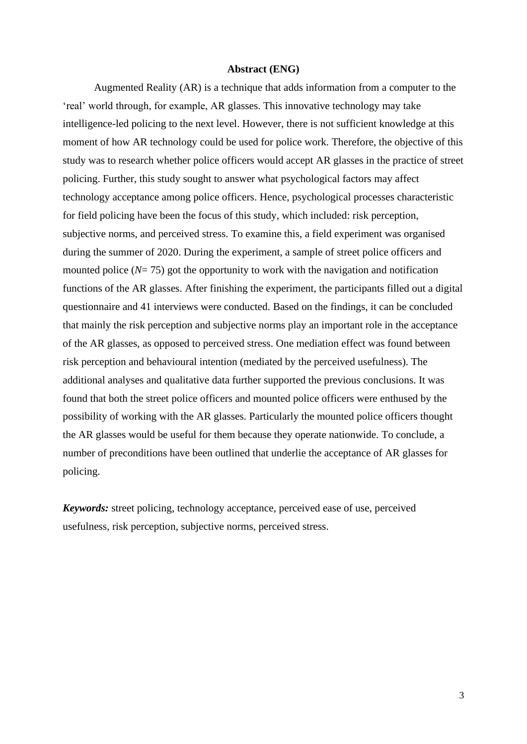#### **Abstract (ENG)**

Augmented Reality (AR) is a technique that adds information from a computer to the 'real' world through, for example, AR glasses. This innovative technology may take intelligence-led policing to the next level. However, there is not sufficient knowledge at this moment of how AR technology could be used for police work. Therefore, the objective of this study was to research whether police officers would accept AR glasses in the practice of street policing. Further, this study sought to answer what psychological factors may affect technology acceptance among police officers. Hence, psychological processes characteristic for field policing have been the focus of this study, which included: risk perception, subjective norms, and perceived stress. To examine this, a field experiment was organised during the summer of 2020. During the experiment, a sample of street police officers and mounted police  $(N=75)$  got the opportunity to work with the navigation and notification functions of the AR glasses. After finishing the experiment, the participants filled out a digital questionnaire and 41 interviews were conducted. Based on the findings, it can be concluded that mainly the risk perception and subjective norms play an important role in the acceptance of the AR glasses, as opposed to perceived stress. One mediation effect was found between risk perception and behavioural intention (mediated by the perceived usefulness). The additional analyses and qualitative data further supported the previous conclusions. It was found that both the street police officers and mounted police officers were enthused by the possibility of working with the AR glasses. Particularly the mounted police officers thought the AR glasses would be useful for them because they operate nationwide. To conclude, a number of preconditions have been outlined that underlie the acceptance of AR glasses for policing.

*Keywords:* street policing, technology acceptance, perceived ease of use, perceived usefulness, risk perception, subjective norms, perceived stress.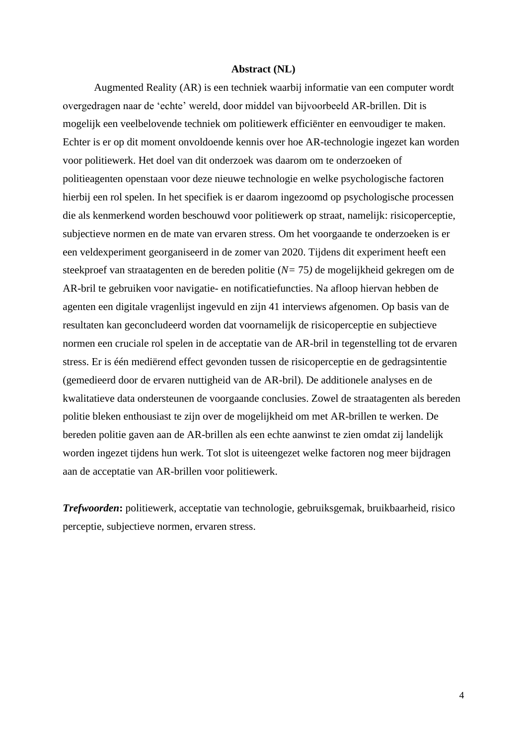#### **Abstract (NL)**

Augmented Reality (AR) is een techniek waarbij informatie van een computer wordt overgedragen naar de 'echte' wereld, door middel van bijvoorbeeld AR-brillen. Dit is mogelijk een veelbelovende techniek om politiewerk efficiënter en eenvoudiger te maken. Echter is er op dit moment onvoldoende kennis over hoe AR-technologie ingezet kan worden voor politiewerk. Het doel van dit onderzoek was daarom om te onderzoeken of politieagenten openstaan voor deze nieuwe technologie en welke psychologische factoren hierbij een rol spelen. In het specifiek is er daarom ingezoomd op psychologische processen die als kenmerkend worden beschouwd voor politiewerk op straat, namelijk: risicoperceptie, subjectieve normen en de mate van ervaren stress. Om het voorgaande te onderzoeken is er een veldexperiment georganiseerd in de zomer van 2020. Tijdens dit experiment heeft een steekproef van straatagenten en de bereden politie (*N=* 75*)* de mogelijkheid gekregen om de AR-bril te gebruiken voor navigatie- en notificatiefuncties. Na afloop hiervan hebben de agenten een digitale vragenlijst ingevuld en zijn 41 interviews afgenomen. Op basis van de resultaten kan geconcludeerd worden dat voornamelijk de risicoperceptie en subjectieve normen een cruciale rol spelen in de acceptatie van de AR-bril in tegenstelling tot de ervaren stress. Er is één mediërend effect gevonden tussen de risicoperceptie en de gedragsintentie (gemedieerd door de ervaren nuttigheid van de AR-bril). De additionele analyses en de kwalitatieve data ondersteunen de voorgaande conclusies. Zowel de straatagenten als bereden politie bleken enthousiast te zijn over de mogelijkheid om met AR-brillen te werken. De bereden politie gaven aan de AR-brillen als een echte aanwinst te zien omdat zij landelijk worden ingezet tijdens hun werk. Tot slot is uiteengezet welke factoren nog meer bijdragen aan de acceptatie van AR-brillen voor politiewerk.

*Trefwoorden***:** politiewerk, acceptatie van technologie, gebruiksgemak, bruikbaarheid, risico perceptie, subjectieve normen, ervaren stress.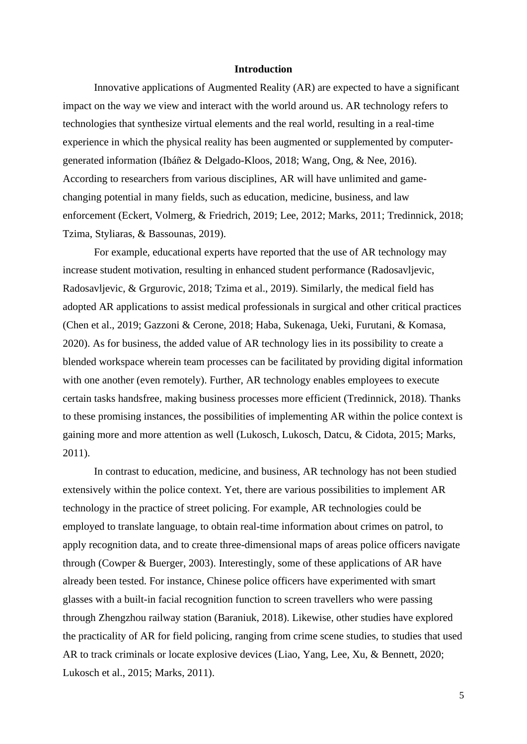# **Introduction**

Innovative applications of Augmented Reality (AR) are expected to have a significant impact on the way we view and interact with the world around us. AR technology refers to technologies that synthesize virtual elements and the real world, resulting in a real-time experience in which the physical reality has been augmented or supplemented by computergenerated information (Ibáñez & Delgado-Kloos, 2018; Wang, Ong, & Nee, 2016). According to researchers from various disciplines, AR will have unlimited and gamechanging potential in many fields, such as education, medicine, business, and law enforcement (Eckert, Volmerg, & Friedrich, 2019; Lee, 2012; Marks, 2011; Tredinnick, 2018; Tzima, Styliaras, & Bassounas, 2019).

For example, educational experts have reported that the use of AR technology may increase student motivation, resulting in enhanced student performance (Radosavljevic, Radosavljevic, & Grgurovic, 2018; Tzima et al., 2019). Similarly, the medical field has adopted AR applications to assist medical professionals in surgical and other critical practices (Chen et al., 2019; Gazzoni & Cerone, 2018; Haba, Sukenaga, Ueki, Furutani, & Komasa, 2020). As for business, the added value of AR technology lies in its possibility to create a blended workspace wherein team processes can be facilitated by providing digital information with one another (even remotely). Further, AR technology enables employees to execute certain tasks handsfree, making business processes more efficient (Tredinnick, 2018). Thanks to these promising instances, the possibilities of implementing AR within the police context is gaining more and more attention as well (Lukosch, Lukosch, Datcu, & Cidota, 2015; Marks, 2011).

In contrast to education, medicine, and business, AR technology has not been studied extensively within the police context. Yet, there are various possibilities to implement AR technology in the practice of street policing. For example, AR technologies could be employed to translate language, to obtain real-time information about crimes on patrol, to apply recognition data, and to create three-dimensional maps of areas police officers navigate through (Cowper & Buerger, 2003). Interestingly, some of these applications of AR have already been tested. For instance, Chinese police officers have experimented with smart glasses with a built-in facial recognition function to screen travellers who were passing through Zhengzhou railway station (Baraniuk, 2018). Likewise, other studies have explored the practicality of AR for field policing, ranging from crime scene studies, to studies that used AR to track criminals or locate explosive devices (Liao, Yang, Lee, Xu, & Bennett, 2020; Lukosch et al., 2015; Marks, 2011).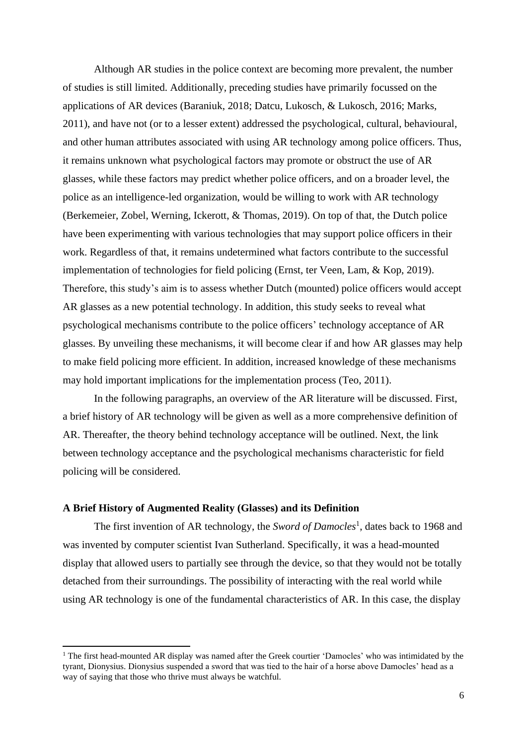Although AR studies in the police context are becoming more prevalent, the number of studies is still limited. Additionally, preceding studies have primarily focussed on the applications of AR devices (Baraniuk, 2018; Datcu, Lukosch, & Lukosch, 2016; Marks, 2011), and have not (or to a lesser extent) addressed the psychological, cultural, behavioural, and other human attributes associated with using AR technology among police officers. Thus, it remains unknown what psychological factors may promote or obstruct the use of AR glasses, while these factors may predict whether police officers, and on a broader level, the police as an intelligence-led organization, would be willing to work with AR technology (Berkemeier, Zobel, Werning, Ickerott, & Thomas, 2019). On top of that, the Dutch police have been experimenting with various technologies that may support police officers in their work. Regardless of that, it remains undetermined what factors contribute to the successful implementation of technologies for field policing (Ernst, ter Veen, Lam, & Kop, 2019). Therefore, this study's aim is to assess whether Dutch (mounted) police officers would accept AR glasses as a new potential technology. In addition, this study seeks to reveal what psychological mechanisms contribute to the police officers' technology acceptance of AR glasses. By unveiling these mechanisms, it will become clear if and how AR glasses may help to make field policing more efficient. In addition, increased knowledge of these mechanisms may hold important implications for the implementation process (Teo, 2011).

In the following paragraphs, an overview of the AR literature will be discussed. First, a brief history of AR technology will be given as well as a more comprehensive definition of AR. Thereafter, the theory behind technology acceptance will be outlined. Next, the link between technology acceptance and the psychological mechanisms characteristic for field policing will be considered.

## **A Brief History of Augmented Reality (Glasses) and its Definition**

The first invention of AR technology, the *Sword of Damocles*<sup>1</sup>, dates back to 1968 and was invented by computer scientist Ivan Sutherland. Specifically, it was a head-mounted display that allowed users to partially see through the device, so that they would not be totally detached from their surroundings. The possibility of interacting with the real world while using AR technology is one of the fundamental characteristics of AR. In this case, the display

 $1$  The first head-mounted AR display was named after the Greek courtier 'Damocles' who was intimidated by the tyrant, Dionysius. Dionysius suspended a sword that was tied to the hair of a horse above Damocles' head as a way of saying that those who thrive must always be watchful.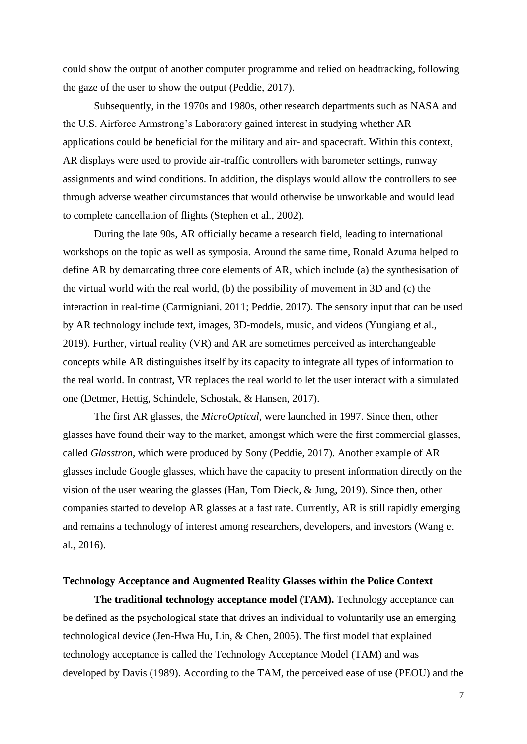could show the output of another computer programme and relied on headtracking, following the gaze of the user to show the output (Peddie, 2017).

Subsequently, in the 1970s and 1980s, other research departments such as NASA and the U.S. Airforce Armstrong's Laboratory gained interest in studying whether AR applications could be beneficial for the military and air- and spacecraft. Within this context, AR displays were used to provide air-traffic controllers with barometer settings, runway assignments and wind conditions. In addition, the displays would allow the controllers to see through adverse weather circumstances that would otherwise be unworkable and would lead to complete cancellation of flights (Stephen et al., 2002).

During the late 90s, AR officially became a research field, leading to international workshops on the topic as well as symposia. Around the same time, Ronald Azuma helped to define AR by demarcating three core elements of AR, which include (a) the synthesisation of the virtual world with the real world, (b) the possibility of movement in 3D and (c) the interaction in real-time (Carmigniani, 2011; Peddie, 2017). The sensory input that can be used by AR technology include text, images, 3D-models, music, and videos (Yungiang et al., 2019). Further, virtual reality (VR) and AR are sometimes perceived as interchangeable concepts while AR distinguishes itself by its capacity to integrate all types of information to the real world. In contrast, VR replaces the real world to let the user interact with a simulated one (Detmer, Hettig, Schindele, Schostak, & Hansen, 2017).

The first AR glasses, the *MicroOptical,* were launched in 1997. Since then, other glasses have found their way to the market, amongst which were the first commercial glasses, called *Glasstron*, which were produced by Sony (Peddie, 2017). Another example of AR glasses include Google glasses, which have the capacity to present information directly on the vision of the user wearing the glasses (Han, Tom Dieck, & Jung, 2019). Since then, other companies started to develop AR glasses at a fast rate. Currently, AR is still rapidly emerging and remains a technology of interest among researchers, developers, and investors (Wang et al., 2016).

# **Technology Acceptance and Augmented Reality Glasses within the Police Context**

**The traditional technology acceptance model (TAM).** Technology acceptance can be defined as the psychological state that drives an individual to voluntarily use an emerging technological device (Jen-Hwa Hu, Lin, & Chen, 2005). The first model that explained technology acceptance is called the Technology Acceptance Model (TAM) and was developed by Davis (1989). According to the TAM, the perceived ease of use (PEOU) and the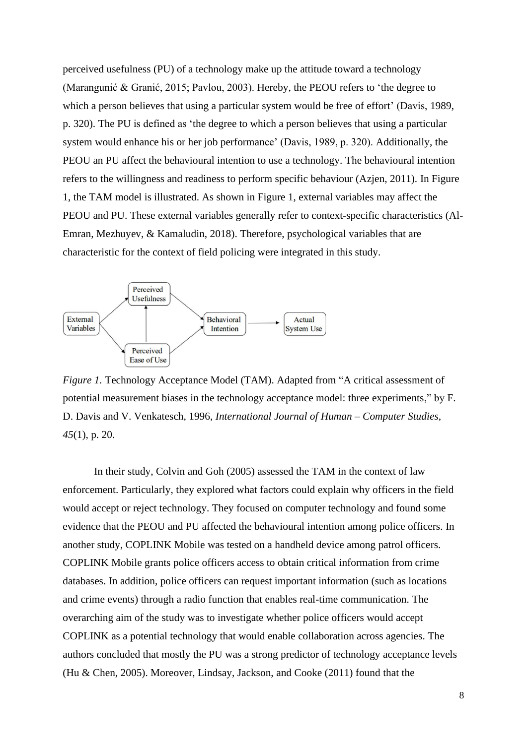perceived usefulness (PU) of a technology make up the attitude toward a technology (Marangunić & Granić, 2015; Pavlou, 2003). Hereby, the PEOU refers to 'the degree to which a person believes that using a particular system would be free of effort' (Davis, 1989, p. 320). The PU is defined as 'the degree to which a person believes that using a particular system would enhance his or her job performance' (Davis, 1989, p. 320). Additionally, the PEOU an PU affect the behavioural intention to use a technology. The behavioural intention refers to the willingness and readiness to perform specific behaviour (Azjen, 2011). In Figure 1, the TAM model is illustrated. As shown in Figure 1, external variables may affect the PEOU and PU. These external variables generally refer to context-specific characteristics (Al-Emran, Mezhuyev, & Kamaludin, 2018). Therefore, psychological variables that are characteristic for the context of field policing were integrated in this study.



*Figure 1.* Technology Acceptance Model (TAM). Adapted from "A critical assessment of potential measurement biases in the technology acceptance model: three experiments," by F. D. Davis and V. Venkatesch, 1996, *International Journal of Human – Computer Studies*, *45*(1), p. 20.

In their study, Colvin and Goh (2005) assessed the TAM in the context of law enforcement. Particularly, they explored what factors could explain why officers in the field would accept or reject technology. They focused on computer technology and found some evidence that the PEOU and PU affected the behavioural intention among police officers. In another study, COPLINK Mobile was tested on a handheld device among patrol officers. COPLINK Mobile grants police officers access to obtain critical information from crime databases. In addition, police officers can request important information (such as locations and crime events) through a radio function that enables real-time communication. The overarching aim of the study was to investigate whether police officers would accept COPLINK as a potential technology that would enable collaboration across agencies. The authors concluded that mostly the PU was a strong predictor of technology acceptance levels (Hu & Chen, 2005). Moreover, Lindsay, Jackson, and Cooke (2011) found that the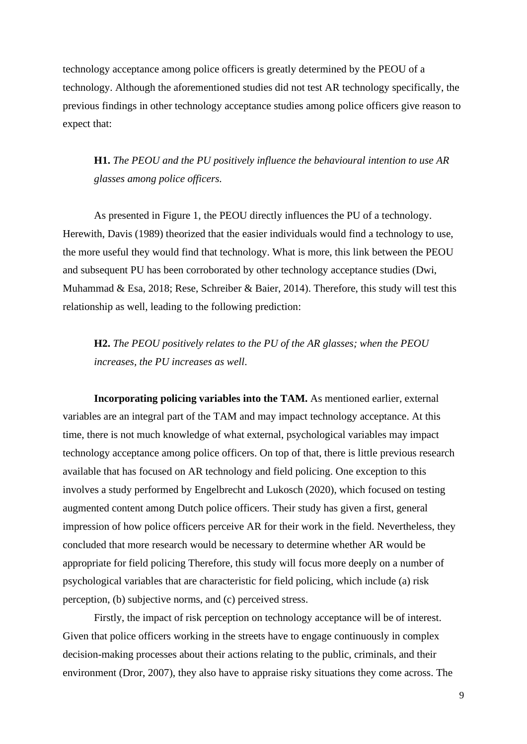technology acceptance among police officers is greatly determined by the PEOU of a technology. Although the aforementioned studies did not test AR technology specifically, the previous findings in other technology acceptance studies among police officers give reason to expect that:

**H1.** *The PEOU and the PU positively influence the behavioural intention to use AR glasses among police officers.*

As presented in Figure 1, the PEOU directly influences the PU of a technology. Herewith, Davis (1989) theorized that the easier individuals would find a technology to use, the more useful they would find that technology. What is more, this link between the PEOU and subsequent PU has been corroborated by other technology acceptance studies (Dwi, Muhammad & Esa, 2018; Rese, Schreiber & Baier, 2014). Therefore, this study will test this relationship as well, leading to the following prediction:

**H2.** *The PEOU positively relates to the PU of the AR glasses; when the PEOU increases, the PU increases as well*.

**Incorporating policing variables into the TAM.** As mentioned earlier, external variables are an integral part of the TAM and may impact technology acceptance. At this time, there is not much knowledge of what external, psychological variables may impact technology acceptance among police officers. On top of that, there is little previous research available that has focused on AR technology and field policing. One exception to this involves a study performed by Engelbrecht and Lukosch (2020), which focused on testing augmented content among Dutch police officers. Their study has given a first, general impression of how police officers perceive AR for their work in the field. Nevertheless, they concluded that more research would be necessary to determine whether AR would be appropriate for field policing Therefore, this study will focus more deeply on a number of psychological variables that are characteristic for field policing, which include (a) risk perception, (b) subjective norms, and (c) perceived stress.

Firstly, the impact of risk perception on technology acceptance will be of interest. Given that police officers working in the streets have to engage continuously in complex decision-making processes about their actions relating to the public, criminals, and their environment (Dror, 2007), they also have to appraise risky situations they come across. The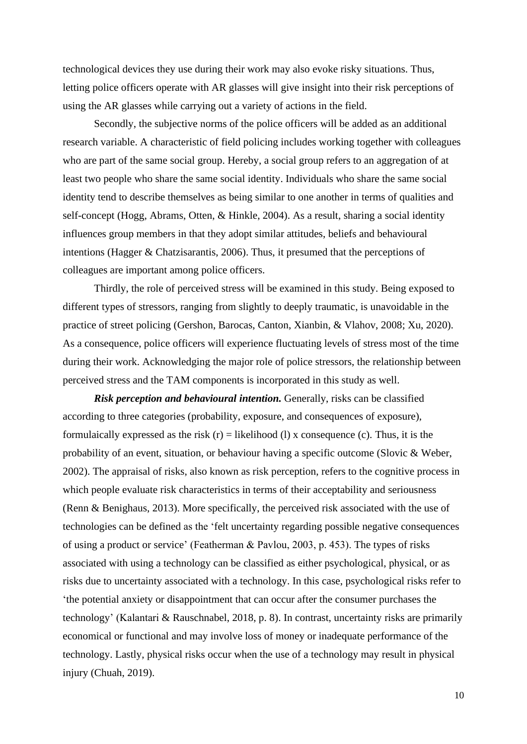technological devices they use during their work may also evoke risky situations. Thus, letting police officers operate with AR glasses will give insight into their risk perceptions of using the AR glasses while carrying out a variety of actions in the field.

Secondly, the subjective norms of the police officers will be added as an additional research variable. A characteristic of field policing includes working together with colleagues who are part of the same social group. Hereby, a social group refers to an aggregation of at least two people who share the same social identity. Individuals who share the same social identity tend to describe themselves as being similar to one another in terms of qualities and self-concept (Hogg, Abrams, Otten, & Hinkle, 2004). As a result, sharing a social identity influences group members in that they adopt similar attitudes, beliefs and behavioural intentions (Hagger & Chatzisarantis, 2006). Thus, it presumed that the perceptions of colleagues are important among police officers.

Thirdly, the role of perceived stress will be examined in this study. Being exposed to different types of stressors, ranging from slightly to deeply traumatic, is unavoidable in the practice of street policing (Gershon, Barocas, Canton, Xianbin, & Vlahov, 2008; Xu, 2020). As a consequence, police officers will experience fluctuating levels of stress most of the time during their work. Acknowledging the major role of police stressors, the relationship between perceived stress and the TAM components is incorporated in this study as well.

*Risk perception and behavioural intention.* Generally, risks can be classified according to three categories (probability, exposure, and consequences of exposure), formulaically expressed as the risk  $(r)$  = likelihood (1) x consequence (c). Thus, it is the probability of an event, situation, or behaviour having a specific outcome (Slovic & Weber, 2002). The appraisal of risks, also known as risk perception, refers to the cognitive process in which people evaluate risk characteristics in terms of their acceptability and seriousness (Renn & Benighaus, 2013). More specifically, the perceived risk associated with the use of technologies can be defined as the 'felt uncertainty regarding possible negative consequences of using a product or service' (Featherman & Pavlou, 2003, p. 453). The types of risks associated with using a technology can be classified as either psychological, physical, or as risks due to uncertainty associated with a technology. In this case, psychological risks refer to 'the potential anxiety or disappointment that can occur after the consumer purchases the technology' (Kalantari & Rauschnabel, 2018, p. 8). In contrast, uncertainty risks are primarily economical or functional and may involve loss of money or inadequate performance of the technology. Lastly, physical risks occur when the use of a technology may result in physical injury (Chuah, 2019).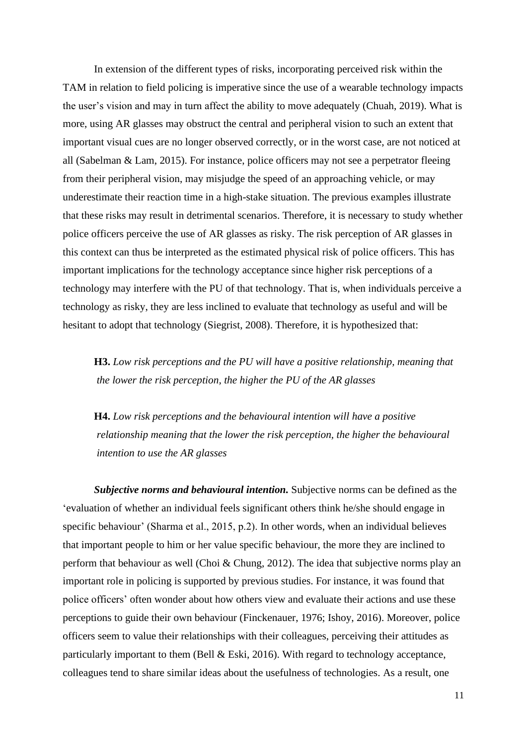In extension of the different types of risks, incorporating perceived risk within the TAM in relation to field policing is imperative since the use of a wearable technology impacts the user's vision and may in turn affect the ability to move adequately (Chuah, 2019). What is more, using AR glasses may obstruct the central and peripheral vision to such an extent that important visual cues are no longer observed correctly, or in the worst case, are not noticed at all (Sabelman & Lam, 2015). For instance, police officers may not see a perpetrator fleeing from their peripheral vision, may misjudge the speed of an approaching vehicle, or may underestimate their reaction time in a high-stake situation. The previous examples illustrate that these risks may result in detrimental scenarios. Therefore, it is necessary to study whether police officers perceive the use of AR glasses as risky. The risk perception of AR glasses in this context can thus be interpreted as the estimated physical risk of police officers. This has important implications for the technology acceptance since higher risk perceptions of a technology may interfere with the PU of that technology. That is, when individuals perceive a technology as risky, they are less inclined to evaluate that technology as useful and will be hesitant to adopt that technology (Siegrist, 2008). Therefore, it is hypothesized that:

**H3.** *Low risk perceptions and the PU will have a positive relationship, meaning that the lower the risk perception, the higher the PU of the AR glasses*

**H4.** *Low risk perceptions and the behavioural intention will have a positive relationship meaning that the lower the risk perception, the higher the behavioural intention to use the AR glasses*

*Subjective norms and behavioural intention.* Subjective norms can be defined as the 'evaluation of whether an individual feels significant others think he/she should engage in specific behaviour' (Sharma et al., 2015, p.2). In other words, when an individual believes that important people to him or her value specific behaviour, the more they are inclined to perform that behaviour as well (Choi & Chung, 2012). The idea that subjective norms play an important role in policing is supported by previous studies. For instance, it was found that police officers' often wonder about how others view and evaluate their actions and use these perceptions to guide their own behaviour (Finckenauer, 1976; Ishoy, 2016). Moreover, police officers seem to value their relationships with their colleagues, perceiving their attitudes as particularly important to them (Bell & Eski, 2016). With regard to technology acceptance, colleagues tend to share similar ideas about the usefulness of technologies. As a result, one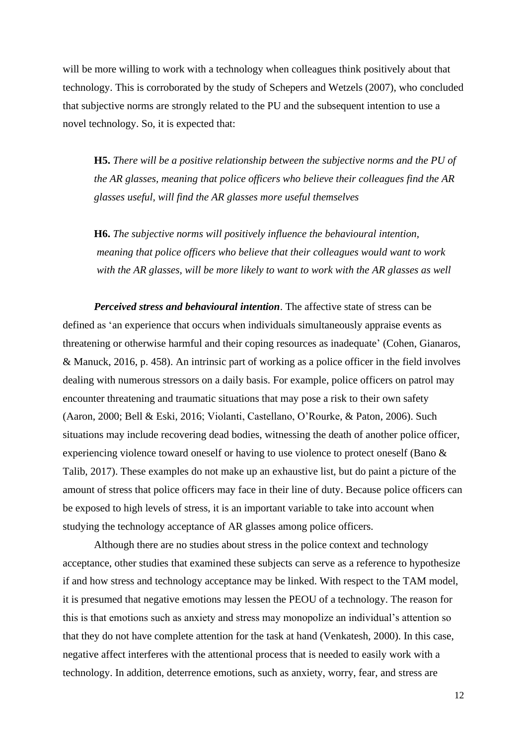will be more willing to work with a technology when colleagues think positively about that technology. This is corroborated by the study of Schepers and Wetzels (2007), who concluded that subjective norms are strongly related to the PU and the subsequent intention to use a novel technology. So, it is expected that:

**H5.** *There will be a positive relationship between the subjective norms and the PU of the AR glasses, meaning that police officers who believe their colleagues find the AR glasses useful, will find the AR glasses more useful themselves*

**H6.** *The subjective norms will positively influence the behavioural intention, meaning that police officers who believe that their colleagues would want to work* with the AR glasses, will be more likely to want to work with the AR glasses as well

*Perceived stress and behavioural intention*. The affective state of stress can be defined as 'an experience that occurs when individuals simultaneously appraise events as threatening or otherwise harmful and their coping resources as inadequate' (Cohen, Gianaros, & Manuck, 2016, p. 458). An intrinsic part of working as a police officer in the field involves dealing with numerous stressors on a daily basis. For example, police officers on patrol may encounter threatening and traumatic situations that may pose a risk to their own safety (Aaron, 2000; Bell & Eski, 2016; Violanti, Castellano, O'Rourke, & Paton, 2006). Such situations may include recovering dead bodies, witnessing the death of another police officer, experiencing violence toward oneself or having to use violence to protect oneself (Bano & Talib, 2017). These examples do not make up an exhaustive list, but do paint a picture of the amount of stress that police officers may face in their line of duty. Because police officers can be exposed to high levels of stress, it is an important variable to take into account when studying the technology acceptance of AR glasses among police officers.

Although there are no studies about stress in the police context and technology acceptance, other studies that examined these subjects can serve as a reference to hypothesize if and how stress and technology acceptance may be linked. With respect to the TAM model, it is presumed that negative emotions may lessen the PEOU of a technology. The reason for this is that emotions such as anxiety and stress may monopolize an individual's attention so that they do not have complete attention for the task at hand (Venkatesh, 2000). In this case, negative affect interferes with the attentional process that is needed to easily work with a technology. In addition, deterrence emotions, such as anxiety, worry, fear, and stress are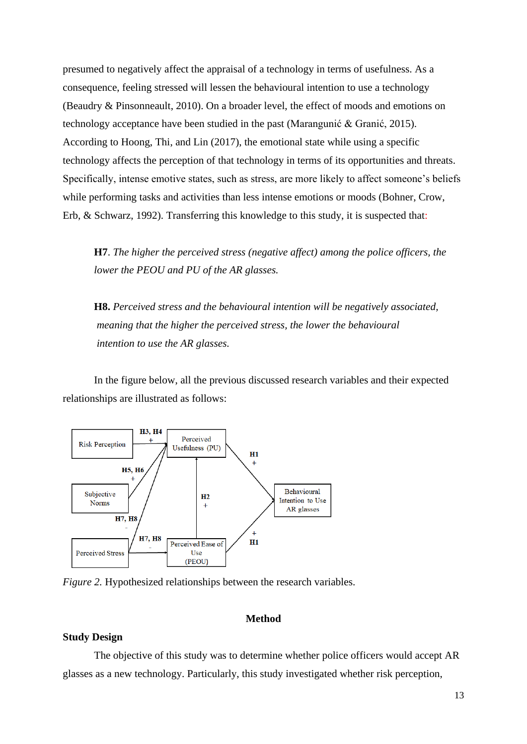presumed to negatively affect the appraisal of a technology in terms of usefulness. As a consequence, feeling stressed will lessen the behavioural intention to use a technology (Beaudry & Pinsonneault, 2010). On a broader level, the effect of moods and emotions on technology acceptance have been studied in the past (Marangunić & Granić, 2015). According to Hoong, Thi, and Lin (2017), the emotional state while using a specific technology affects the perception of that technology in terms of its opportunities and threats. Specifically, intense emotive states, such as stress, are more likely to affect someone's beliefs while performing tasks and activities than less intense emotions or moods (Bohner, Crow, Erb, & Schwarz, 1992). Transferring this knowledge to this study, it is suspected that:

**H7**. *The higher the perceived stress (negative affect) among the police officers, the lower the PEOU and PU of the AR glasses.*

**H8.** *Perceived stress and the behavioural intention will be negatively associated, meaning that the higher the perceived stress, the lower the behavioural intention to use the AR glasses.*

In the figure below, all the previous discussed research variables and their expected relationships are illustrated as follows:



*Figure 2.* Hypothesized relationships between the research variables.

# **Method**

# **Study Design**

The objective of this study was to determine whether police officers would accept AR glasses as a new technology. Particularly, this study investigated whether risk perception,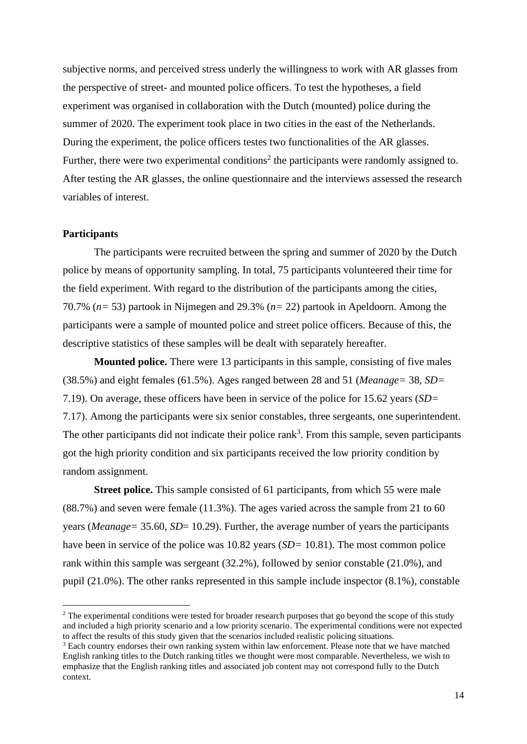subjective norms, and perceived stress underly the willingness to work with AR glasses from the perspective of street- and mounted police officers. To test the hypotheses, a field experiment was organised in collaboration with the Dutch (mounted) police during the summer of 2020. The experiment took place in two cities in the east of the Netherlands. During the experiment, the police officers testes two functionalities of the AR glasses. Further, there were two experimental conditions<sup>2</sup> the participants were randomly assigned to. After testing the AR glasses, the online questionnaire and the interviews assessed the research variables of interest.

## **Participants**

The participants were recruited between the spring and summer of 2020 by the Dutch police by means of opportunity sampling. In total, 75 participants volunteered their time for the field experiment. With regard to the distribution of the participants among the cities, 70.7% (*n=* 53) partook in Nijmegen and 29.3% (*n=* 22) partook in Apeldoorn. Among the participants were a sample of mounted police and street police officers. Because of this, the descriptive statistics of these samples will be dealt with separately hereafter.

**Mounted police.** There were 13 participants in this sample, consisting of five males (38.5%) and eight females (61.5%). Ages ranged between 28 and 51 (*Meanage=* 38, *SD=*  7.19). On average, these officers have been in service of the police for 15.62 years (*SD=* 7.17). Among the participants were six senior constables, three sergeants, one superintendent. The other participants did not indicate their police rank<sup>3</sup>. From this sample, seven participants got the high priority condition and six participants received the low priority condition by random assignment.

**Street police.** This sample consisted of 61 participants, from which 55 were male (88.7%) and seven were female (11.3%). The ages varied across the sample from 21 to 60 years (*Meanage=* 35.60, *SD*= 10.29). Further, the average number of years the participants have been in service of the police was 10.82 years (*SD=* 10.81). The most common police rank within this sample was sergeant (32.2%), followed by senior constable (21.0%), and pupil (21.0%). The other ranks represented in this sample include inspector (8.1%), constable

<sup>&</sup>lt;sup>2</sup> The experimental conditions were tested for broader research purposes that go beyond the scope of this study and included a high priority scenario and a low priority scenario. The experimental conditions were not expected to affect the results of this study given that the scenarios included realistic policing situations.

<sup>&</sup>lt;sup>3</sup> Each country endorses their own ranking system within law enforcement. Please note that we have matched English ranking titles to the Dutch ranking titles we thought were most comparable. Nevertheless, we wish to emphasize that the English ranking titles and associated job content may not correspond fully to the Dutch context.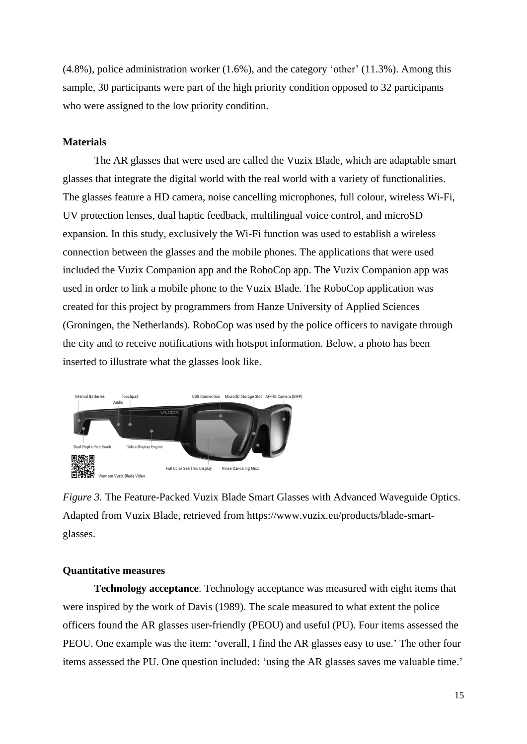(4.8%), police administration worker (1.6%), and the category 'other' (11.3%). Among this sample, 30 participants were part of the high priority condition opposed to 32 participants who were assigned to the low priority condition.

# **Materials**

The AR glasses that were used are called the Vuzix Blade, which are adaptable smart glasses that integrate the digital world with the real world with a variety of functionalities. The glasses feature a HD camera, noise cancelling microphones, full colour, wireless Wi-Fi, UV protection lenses, dual haptic feedback, multilingual voice control, and microSD expansion. In this study, exclusively the Wi-Fi function was used to establish a wireless connection between the glasses and the mobile phones. The applications that were used included the Vuzix Companion app and the RoboCop app. The Vuzix Companion app was used in order to link a mobile phone to the Vuzix Blade. The RoboCop application was created for this project by programmers from Hanze University of Applied Sciences (Groningen, the Netherlands). RoboCop was used by the police officers to navigate through the city and to receive notifications with hotspot information. Below, a photo has been inserted to illustrate what the glasses look like.



*Figure 3.* The Feature-Packed Vuzix Blade Smart Glasses with Advanced Waveguide Optics. Adapted from Vuzix Blade, retrieved from [https://www.vuzix.eu/products/blade-smart](https://www.vuzix.eu/products/blade-smart-glasses)[glasses.](https://www.vuzix.eu/products/blade-smart-glasses)

# **Quantitative measures**

**Technology acceptance**. Technology acceptance was measured with eight items that were inspired by the work of Davis (1989). The scale measured to what extent the police officers found the AR glasses user-friendly (PEOU) and useful (PU). Four items assessed the PEOU. One example was the item: 'overall, I find the AR glasses easy to use.' The other four items assessed the PU. One question included: 'using the AR glasses saves me valuable time.'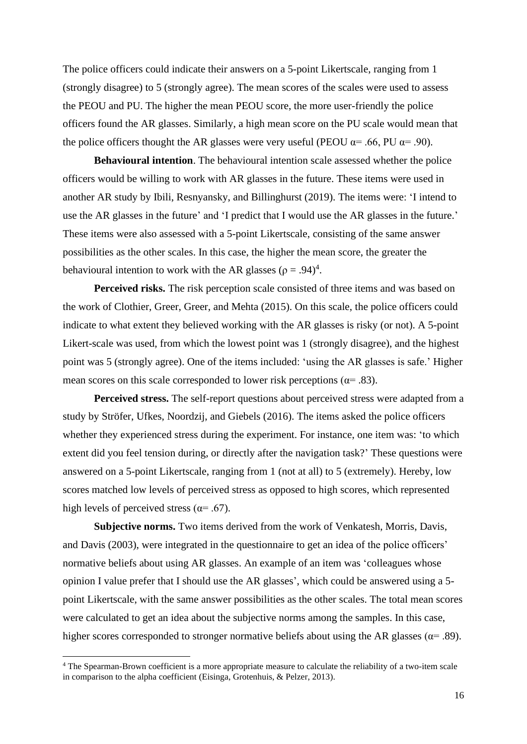The police officers could indicate their answers on a 5-point Likertscale, ranging from 1 (strongly disagree) to 5 (strongly agree). The mean scores of the scales were used to assess the PEOU and PU. The higher the mean PEOU score, the more user-friendly the police officers found the AR glasses. Similarly, a high mean score on the PU scale would mean that the police officers thought the AR glasses were very useful (PEOU  $\alpha$ = .66, PU  $\alpha$ = .90).

**Behavioural intention**. The behavioural intention scale assessed whether the police officers would be willing to work with AR glasses in the future. These items were used in another AR study by Ibili, Resnyansky, and Billinghurst (2019). The items were: 'I intend to use the AR glasses in the future' and 'I predict that I would use the AR glasses in the future.' These items were also assessed with a 5-point Likertscale, consisting of the same answer possibilities as the other scales. In this case, the higher the mean score, the greater the behavioural intention to work with the AR glasses ( $\rho = .94$ )<sup>4</sup>.

Perceived risks. The risk perception scale consisted of three items and was based on the work of Clothier, Greer, Greer, and Mehta (2015). On this scale, the police officers could indicate to what extent they believed working with the AR glasses is risky (or not). A 5-point Likert-scale was used, from which the lowest point was 1 (strongly disagree), and the highest point was 5 (strongly agree). One of the items included: 'using the AR glasses is safe.' Higher mean scores on this scale corresponded to lower risk perceptions ( $\alpha$ = .83).

**Perceived stress.** The self-report questions about perceived stress were adapted from a study by Ströfer, Ufkes, Noordzij, and Giebels (2016). The items asked the police officers whether they experienced stress during the experiment. For instance, one item was: 'to which extent did you feel tension during, or directly after the navigation task?' These questions were answered on a 5-point Likertscale, ranging from 1 (not at all) to 5 (extremely). Hereby, low scores matched low levels of perceived stress as opposed to high scores, which represented high levels of perceived stress ( $\alpha$ = .67).

Subjective norms. Two items derived from the work of Venkatesh, Morris, Davis, and Davis (2003), were integrated in the questionnaire to get an idea of the police officers' normative beliefs about using AR glasses. An example of an item was 'colleagues whose opinion I value prefer that I should use the AR glasses', which could be answered using a 5 point Likertscale, with the same answer possibilities as the other scales. The total mean scores were calculated to get an idea about the subjective norms among the samples. In this case, higher scores corresponded to stronger normative beliefs about using the AR glasses ( $\alpha$ = .89).

<sup>4</sup> The Spearman-Brown coefficient is a more appropriate measure to calculate the reliability of a two-item scale in comparison to the alpha coefficient (Eisinga, Grotenhuis, & Pelzer, 2013).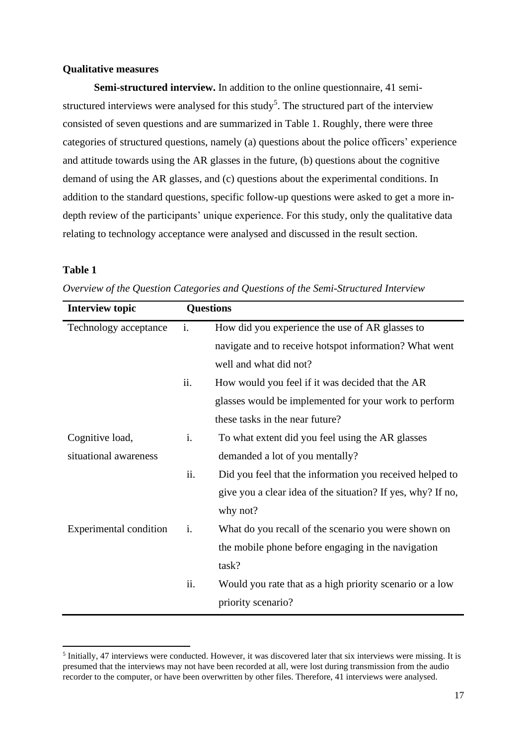## **Qualitative measures**

**Semi-structured interview.** In addition to the online questionnaire, 41 semistructured interviews were analysed for this study<sup>5</sup>. The structured part of the interview consisted of seven questions and are summarized in Table 1. Roughly, there were three categories of structured questions, namely (a) questions about the police officers' experience and attitude towards using the AR glasses in the future, (b) questions about the cognitive demand of using the AR glasses, and (c) questions about the experimental conditions. In addition to the standard questions, specific follow-up questions were asked to get a more indepth review of the participants' unique experience. For this study, only the qualitative data relating to technology acceptance were analysed and discussed in the result section.

# **Table 1**

| <b>Interview topic</b>        | <b>Questions</b> |                                                             |
|-------------------------------|------------------|-------------------------------------------------------------|
| Technology acceptance         | i.               | How did you experience the use of AR glasses to             |
|                               |                  | navigate and to receive hotspot information? What went      |
|                               |                  | well and what did not?                                      |
|                               | ii.              | How would you feel if it was decided that the AR            |
|                               |                  | glasses would be implemented for your work to perform       |
|                               |                  | these tasks in the near future?                             |
| Cognitive load,               | i.               | To what extent did you feel using the AR glasses            |
| situational awareness         |                  | demanded a lot of you mentally?                             |
|                               | ii.              | Did you feel that the information you received helped to    |
|                               |                  | give you a clear idea of the situation? If yes, why? If no, |
|                               |                  | why not?                                                    |
| <b>Experimental condition</b> | i.               | What do you recall of the scenario you were shown on        |
|                               |                  | the mobile phone before engaging in the navigation          |
|                               |                  | task?                                                       |
|                               | ii.              | Would you rate that as a high priority scenario or a low    |
|                               |                  | priority scenario?                                          |

*Overview of the Question Categories and Questions of the Semi-Structured Interview* 

<sup>&</sup>lt;sup>5</sup> Initially, 47 interviews were conducted. However, it was discovered later that six interviews were missing. It is presumed that the interviews may not have been recorded at all, were lost during transmission from the audio recorder to the computer, or have been overwritten by other files. Therefore, 41 interviews were analysed.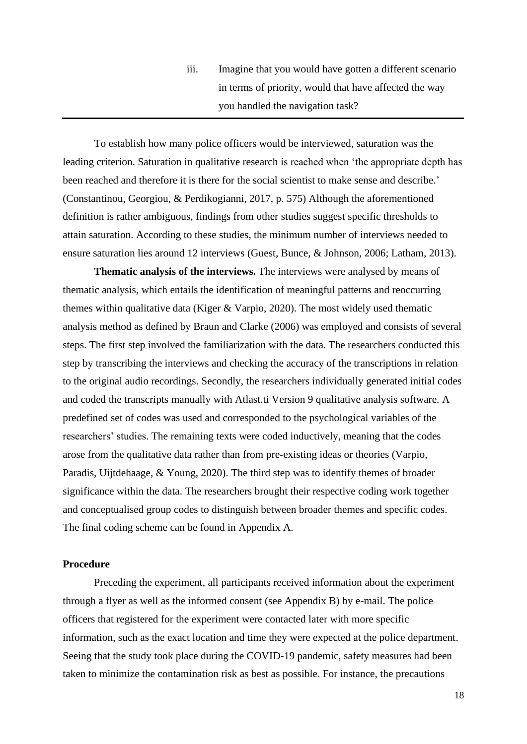# iii. Imagine that you would have gotten a different scenario in terms of priority, would that have affected the way you handled the navigation task?

To establish how many police officers would be interviewed, saturation was the leading criterion. Saturation in qualitative research is reached when 'the appropriate depth has been reached and therefore it is there for the social scientist to make sense and describe.' (Constantinou, Georgiou, & Perdikogianni, 2017, p. 575) Although the aforementioned definition is rather ambiguous, findings from other studies suggest specific thresholds to attain saturation. According to these studies, the minimum number of interviews needed to ensure saturation lies around 12 interviews (Guest, Bunce, & Johnson, 2006; Latham, 2013).

**Thematic analysis of the interviews.** The interviews were analysed by means of thematic analysis, which entails the identification of meaningful patterns and reoccurring themes within qualitative data (Kiger & Varpio, 2020). The most widely used thematic analysis method as defined by Braun and Clarke (2006) was employed and consists of several steps. The first step involved the familiarization with the data. The researchers conducted this step by transcribing the interviews and checking the accuracy of the transcriptions in relation to the original audio recordings. Secondly, the researchers individually generated initial codes and coded the transcripts manually with Atlast.ti Version 9 qualitative analysis software. A predefined set of codes was used and corresponded to the psychological variables of the researchers' studies. The remaining texts were coded inductively, meaning that the codes arose from the qualitative data rather than from pre-existing ideas or theories (Varpio, Paradis, Uijtdehaage, & Young, 2020). The third step was to identify themes of broader significance within the data. The researchers brought their respective coding work together and conceptualised group codes to distinguish between broader themes and specific codes. The final coding scheme can be found in Appendix A.

#### **Procedure**

Preceding the experiment, all participants received information about the experiment through a flyer as well as the informed consent (see Appendix B) by e-mail. The police officers that registered for the experiment were contacted later with more specific information, such as the exact location and time they were expected at the police department. Seeing that the study took place during the COVID-19 pandemic, safety measures had been taken to minimize the contamination risk as best as possible. For instance, the precautions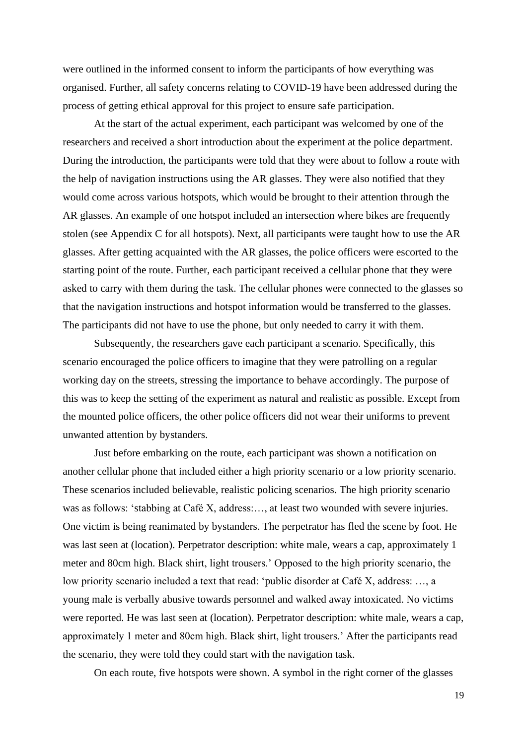were outlined in the informed consent to inform the participants of how everything was organised. Further, all safety concerns relating to COVID-19 have been addressed during the process of getting ethical approval for this project to ensure safe participation.

At the start of the actual experiment, each participant was welcomed by one of the researchers and received a short introduction about the experiment at the police department. During the introduction, the participants were told that they were about to follow a route with the help of navigation instructions using the AR glasses. They were also notified that they would come across various hotspots, which would be brought to their attention through the AR glasses. An example of one hotspot included an intersection where bikes are frequently stolen (see Appendix C for all hotspots). Next, all participants were taught how to use the AR glasses. After getting acquainted with the AR glasses, the police officers were escorted to the starting point of the route. Further, each participant received a cellular phone that they were asked to carry with them during the task. The cellular phones were connected to the glasses so that the navigation instructions and hotspot information would be transferred to the glasses. The participants did not have to use the phone, but only needed to carry it with them.

Subsequently, the researchers gave each participant a scenario. Specifically, this scenario encouraged the police officers to imagine that they were patrolling on a regular working day on the streets, stressing the importance to behave accordingly. The purpose of this was to keep the setting of the experiment as natural and realistic as possible. Except from the mounted police officers, the other police officers did not wear their uniforms to prevent unwanted attention by bystanders.

Just before embarking on the route, each participant was shown a notification on another cellular phone that included either a high priority scenario or a low priority scenario. These scenarios included believable, realistic policing scenarios. The high priority scenario was as follows: 'stabbing at Café X, address:…, at least two wounded with severe injuries. One victim is being reanimated by bystanders. The perpetrator has fled the scene by foot. He was last seen at (location). Perpetrator description: white male, wears a cap, approximately 1 meter and 80cm high. Black shirt, light trousers.' Opposed to the high priority scenario, the low priority scenario included a text that read: 'public disorder at Café X, address: …, a young male is verbally abusive towards personnel and walked away intoxicated. No victims were reported. He was last seen at (location). Perpetrator description: white male, wears a cap, approximately 1 meter and 80cm high. Black shirt, light trousers.' After the participants read the scenario, they were told they could start with the navigation task.

On each route, five hotspots were shown. A symbol in the right corner of the glasses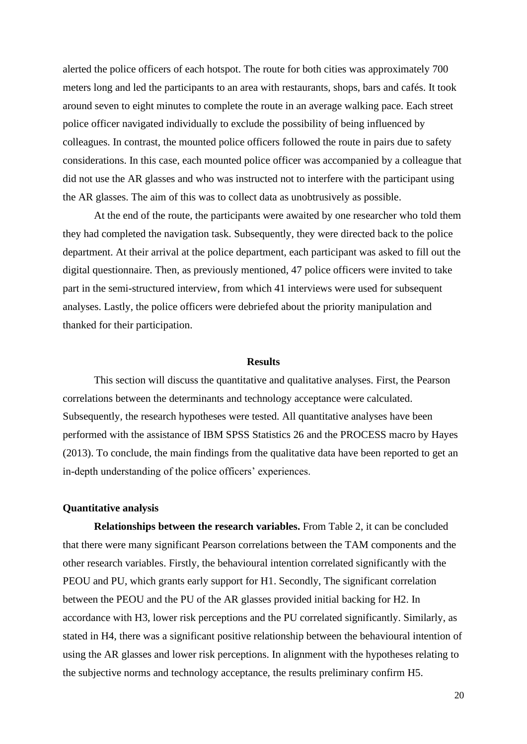alerted the police officers of each hotspot. The route for both cities was approximately 700 meters long and led the participants to an area with restaurants, shops, bars and cafés. It took around seven to eight minutes to complete the route in an average walking pace. Each street police officer navigated individually to exclude the possibility of being influenced by colleagues. In contrast, the mounted police officers followed the route in pairs due to safety considerations. In this case, each mounted police officer was accompanied by a colleague that did not use the AR glasses and who was instructed not to interfere with the participant using the AR glasses. The aim of this was to collect data as unobtrusively as possible.

At the end of the route, the participants were awaited by one researcher who told them they had completed the navigation task. Subsequently, they were directed back to the police department. At their arrival at the police department, each participant was asked to fill out the digital questionnaire. Then, as previously mentioned, 47 police officers were invited to take part in the semi-structured interview, from which 41 interviews were used for subsequent analyses. Lastly, the police officers were debriefed about the priority manipulation and thanked for their participation.

#### **Results**

This section will discuss the quantitative and qualitative analyses. First, the Pearson correlations between the determinants and technology acceptance were calculated. Subsequently, the research hypotheses were tested. All quantitative analyses have been performed with the assistance of IBM SPSS Statistics 26 and the PROCESS macro by Hayes (2013). To conclude, the main findings from the qualitative data have been reported to get an in-depth understanding of the police officers' experiences.

## **Quantitative analysis**

**Relationships between the research variables.** From Table 2, it can be concluded that there were many significant Pearson correlations between the TAM components and the other research variables. Firstly, the behavioural intention correlated significantly with the PEOU and PU, which grants early support for H1. Secondly, The significant correlation between the PEOU and the PU of the AR glasses provided initial backing for H2. In accordance with H3, lower risk perceptions and the PU correlated significantly. Similarly, as stated in H4, there was a significant positive relationship between the behavioural intention of using the AR glasses and lower risk perceptions. In alignment with the hypotheses relating to the subjective norms and technology acceptance, the results preliminary confirm H5.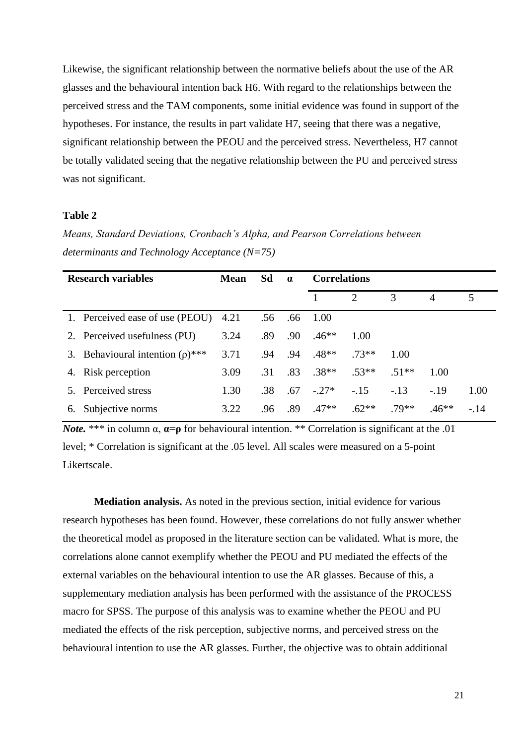Likewise, the significant relationship between the normative beliefs about the use of the AR glasses and the behavioural intention back H6. With regard to the relationships between the perceived stress and the TAM components, some initial evidence was found in support of the hypotheses. For instance, the results in part validate H7, seeing that there was a negative, significant relationship between the PEOU and the perceived stress. Nevertheless, H7 cannot be totally validated seeing that the negative relationship between the PU and perceived stress was not significant.

# **Table 2**

*Means, Standard Deviations, Cronbach's Alpha, and Pearson Correlations between determinants and Technology Acceptance (N=75)*

|    | <b>Research variables</b>             | <b>Mean</b> | Sd  | $\alpha$ | <b>Correlations</b> |                             |        |                |        |
|----|---------------------------------------|-------------|-----|----------|---------------------|-----------------------------|--------|----------------|--------|
|    |                                       |             |     |          |                     | $\mathcal{D}_{\mathcal{L}}$ | 3      | $\overline{4}$ | 5      |
|    | 1. Perceived ease of use (PEOU)       | 4.21        | .56 | .66      | 1.00                |                             |        |                |        |
|    | 2. Perceived usefulness (PU)          | 3.24        | .89 | .90      | $.46**$             | 1.00                        |        |                |        |
|    | 3. Behavioural intention $(\rho)$ *** | 3.71        | .94 | .94      | $.48**$             | $.73**$                     | 1.00   |                |        |
|    | 4. Risk perception                    | 3.09        | .31 | .83      | $.38**$             | $.53**$                     | $51**$ | 1.00           |        |
|    | 5. Perceived stress                   | 1.30        | .38 | .67      | $-.27*$             | $-.15$                      | $-.13$ | $-.19$         | 1.00   |
| 6. | Subjective norms                      | 3.22        | .96 | .89      | $.47**$             | $.62**$                     | 79**   | $46**$         | $-.14$ |

*Note.* \*\*\* in column  $\alpha$ ,  $\alpha = \rho$  for behavioural intention. \*\* Correlation is significant at the .01 level; \* Correlation is significant at the .05 level. All scales were measured on a 5-point Likertscale.

**Mediation analysis.** As noted in the previous section, initial evidence for various research hypotheses has been found. However, these correlations do not fully answer whether the theoretical model as proposed in the literature section can be validated. What is more, the correlations alone cannot exemplify whether the PEOU and PU mediated the effects of the external variables on the behavioural intention to use the AR glasses. Because of this, a supplementary mediation analysis has been performed with the assistance of the PROCESS macro for SPSS. The purpose of this analysis was to examine whether the PEOU and PU mediated the effects of the risk perception, subjective norms, and perceived stress on the behavioural intention to use the AR glasses. Further, the objective was to obtain additional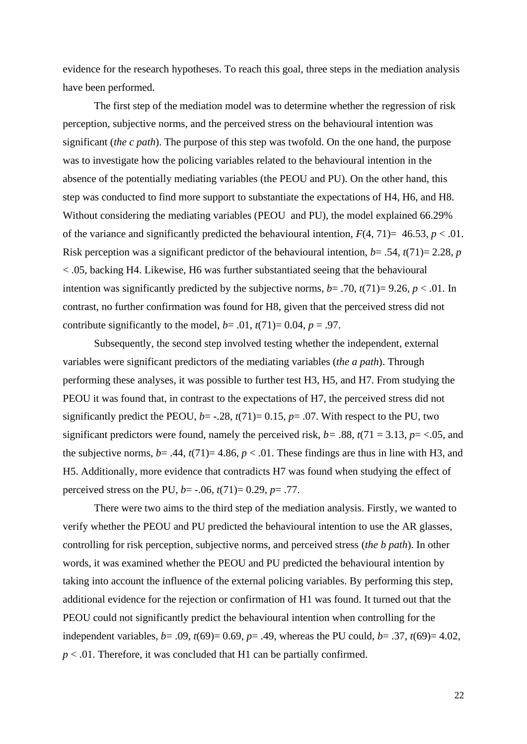evidence for the research hypotheses. To reach this goal, three steps in the mediation analysis have been performed.

The first step of the mediation model was to determine whether the regression of risk perception, subjective norms, and the perceived stress on the behavioural intention was significant (*the c path*). The purpose of this step was twofold. On the one hand, the purpose was to investigate how the policing variables related to the behavioural intention in the absence of the potentially mediating variables (the PEOU and PU). On the other hand, this step was conducted to find more support to substantiate the expectations of H4, H6, and H8. Without considering the mediating variables (PEOU and PU), the model explained 66.29% of the variance and significantly predicted the behavioural intention,  $F(4, 71) = 46.53$ ,  $p < .01$ . Risk perception was a significant predictor of the behavioural intention, *b*= .54, *t*(71)= 2.28, *p* < .05, backing H4. Likewise, H6 was further substantiated seeing that the behavioural intention was significantly predicted by the subjective norms,  $b = .70$ ,  $t(71) = 9.26$ ,  $p < .01$ . In contrast, no further confirmation was found for H8, given that the perceived stress did not contribute significantly to the model,  $b = .01$ ,  $t(71) = 0.04$ ,  $p = .97$ .

Subsequently, the second step involved testing whether the independent, external variables were significant predictors of the mediating variables (*the a path*). Through performing these analyses, it was possible to further test H3, H5, and H7. From studying the PEOU it was found that, in contrast to the expectations of H7, the perceived stress did not significantly predict the PEOU,  $b = -0.28$ ,  $t(71) = 0.15$ ,  $p = 0.07$ . With respect to the PU, two significant predictors were found, namely the perceived risk,  $b = .88$ ,  $t(71 = 3.13, p = < .05,$  and the subjective norms,  $b = .44$ ,  $t(71)= 4.86$ ,  $p < .01$ . These findings are thus in line with H3, and H5. Additionally, more evidence that contradicts H7 was found when studying the effect of perceived stress on the PU, *b*= -.06, *t*(71)= 0.29, *p*= .77.

There were two aims to the third step of the mediation analysis. Firstly, we wanted to verify whether the PEOU and PU predicted the behavioural intention to use the AR glasses, controlling for risk perception, subjective norms, and perceived stress (*the b path*). In other words, it was examined whether the PEOU and PU predicted the behavioural intention by taking into account the influence of the external policing variables. By performing this step, additional evidence for the rejection or confirmation of H1 was found. It turned out that the PEOU could not significantly predict the behavioural intention when controlling for the independent variables,  $b = .09$ ,  $t(69) = 0.69$ ,  $p = .49$ , whereas the PU could,  $b = .37$ ,  $t(69) = 4.02$ ,  $p < .01$ . Therefore, it was concluded that H1 can be partially confirmed.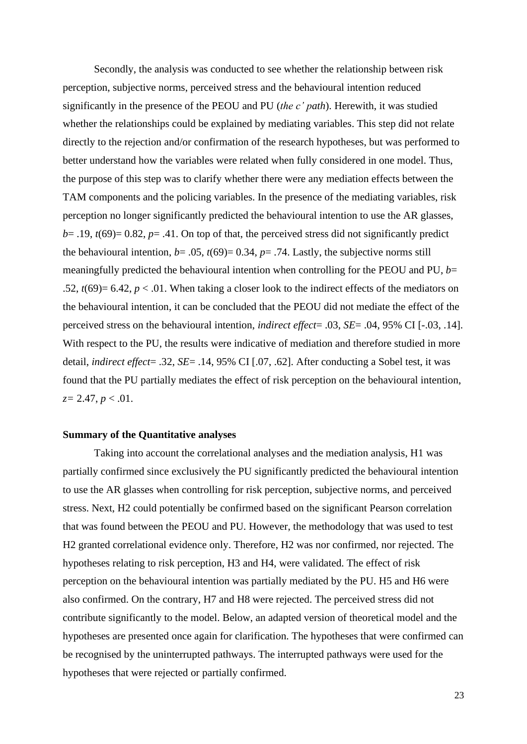Secondly, the analysis was conducted to see whether the relationship between risk perception, subjective norms, perceived stress and the behavioural intention reduced significantly in the presence of the PEOU and PU (*the c' path*). Herewith, it was studied whether the relationships could be explained by mediating variables. This step did not relate directly to the rejection and/or confirmation of the research hypotheses, but was performed to better understand how the variables were related when fully considered in one model. Thus, the purpose of this step was to clarify whether there were any mediation effects between the TAM components and the policing variables. In the presence of the mediating variables, risk perception no longer significantly predicted the behavioural intention to use the AR glasses,  $b=$  .19,  $t(69)=$  0.82,  $p=$  .41. On top of that, the perceived stress did not significantly predict the behavioural intention,  $b = .05$ ,  $t(69) = 0.34$ ,  $p = .74$ . Lastly, the subjective norms still meaningfully predicted the behavioural intention when controlling for the PEOU and PU, *b*= .52,  $t(69) = 6.42$ ,  $p < .01$ . When taking a closer look to the indirect effects of the mediators on the behavioural intention, it can be concluded that the PEOU did not mediate the effect of the perceived stress on the behavioural intention, *indirect effect*= .03, *SE*= .04, 95% CI [-.03, .14]. With respect to the PU, the results were indicative of mediation and therefore studied in more detail, *indirect effect*= .32, *SE*= .14, 95% CI [.07, .62]. After conducting a Sobel test, it was found that the PU partially mediates the effect of risk perception on the behavioural intention, *z=* 2.47, *p* < .01.

# **Summary of the Quantitative analyses**

Taking into account the correlational analyses and the mediation analysis, H1 was partially confirmed since exclusively the PU significantly predicted the behavioural intention to use the AR glasses when controlling for risk perception, subjective norms, and perceived stress. Next, H2 could potentially be confirmed based on the significant Pearson correlation that was found between the PEOU and PU. However, the methodology that was used to test H2 granted correlational evidence only. Therefore, H2 was nor confirmed, nor rejected. The hypotheses relating to risk perception, H3 and H4, were validated. The effect of risk perception on the behavioural intention was partially mediated by the PU. H5 and H6 were also confirmed. On the contrary, H7 and H8 were rejected. The perceived stress did not contribute significantly to the model. Below, an adapted version of theoretical model and the hypotheses are presented once again for clarification. The hypotheses that were confirmed can be recognised by the uninterrupted pathways. The interrupted pathways were used for the hypotheses that were rejected or partially confirmed.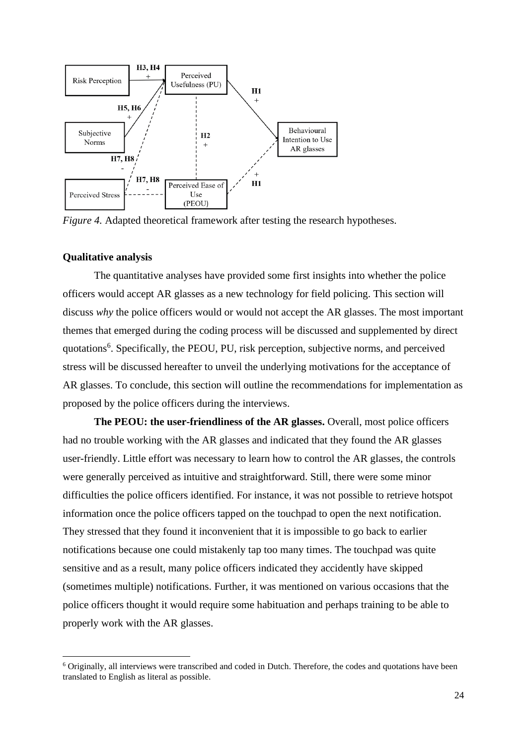

*Figure 4.* Adapted theoretical framework after testing the research hypotheses.

# **Qualitative analysis**

The quantitative analyses have provided some first insights into whether the police officers would accept AR glasses as a new technology for field policing. This section will discuss *why* the police officers would or would not accept the AR glasses. The most important themes that emerged during the coding process will be discussed and supplemented by direct quotations<sup>6</sup>. Specifically, the PEOU, PU, risk perception, subjective norms, and perceived stress will be discussed hereafter to unveil the underlying motivations for the acceptance of AR glasses. To conclude, this section will outline the recommendations for implementation as proposed by the police officers during the interviews.

**The PEOU: the user-friendliness of the AR glasses.** Overall, most police officers had no trouble working with the AR glasses and indicated that they found the AR glasses user-friendly. Little effort was necessary to learn how to control the AR glasses, the controls were generally perceived as intuitive and straightforward. Still, there were some minor difficulties the police officers identified. For instance, it was not possible to retrieve hotspot information once the police officers tapped on the touchpad to open the next notification. They stressed that they found it inconvenient that it is impossible to go back to earlier notifications because one could mistakenly tap too many times. The touchpad was quite sensitive and as a result, many police officers indicated they accidently have skipped (sometimes multiple) notifications. Further, it was mentioned on various occasions that the police officers thought it would require some habituation and perhaps training to be able to properly work with the AR glasses.

<sup>6</sup> Originally, all interviews were transcribed and coded in Dutch. Therefore, the codes and quotations have been translated to English as literal as possible.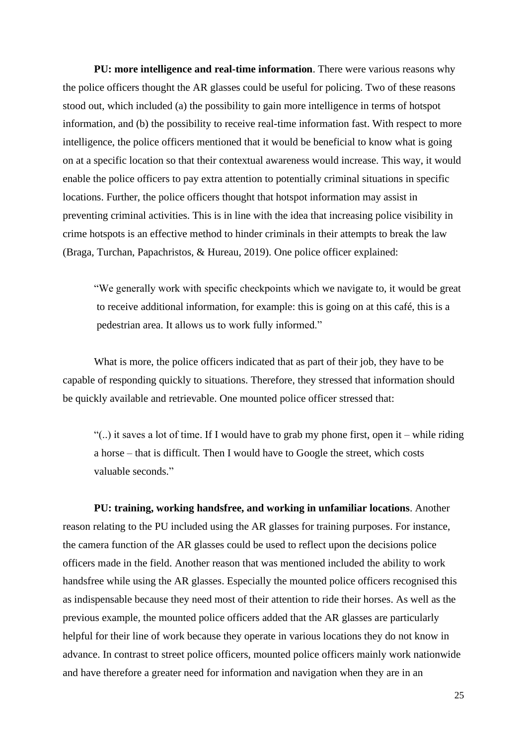**PU: more intelligence and real-time information**. There were various reasons why the police officers thought the AR glasses could be useful for policing. Two of these reasons stood out, which included (a) the possibility to gain more intelligence in terms of hotspot information, and (b) the possibility to receive real-time information fast. With respect to more intelligence, the police officers mentioned that it would be beneficial to know what is going on at a specific location so that their contextual awareness would increase. This way, it would enable the police officers to pay extra attention to potentially criminal situations in specific locations. Further, the police officers thought that hotspot information may assist in preventing criminal activities. This is in line with the idea that increasing police visibility in crime hotspots is an effective method to hinder criminals in their attempts to break the law (Braga, Turchan, Papachristos, & Hureau, 2019). One police officer explained:

"We generally work with specific checkpoints which we navigate to, it would be great to receive additional information, for example: this is going on at this café, this is a pedestrian area. It allows us to work fully informed."

What is more, the police officers indicated that as part of their job, they have to be capable of responding quickly to situations. Therefore, they stressed that information should be quickly available and retrievable. One mounted police officer stressed that:

"(..) it saves a lot of time. If I would have to grab my phone first, open it – while riding a horse – that is difficult. Then I would have to Google the street, which costs valuable seconds."

**PU: training, working handsfree, and working in unfamiliar locations**. Another reason relating to the PU included using the AR glasses for training purposes. For instance, the camera function of the AR glasses could be used to reflect upon the decisions police officers made in the field. Another reason that was mentioned included the ability to work handsfree while using the AR glasses. Especially the mounted police officers recognised this as indispensable because they need most of their attention to ride their horses. As well as the previous example, the mounted police officers added that the AR glasses are particularly helpful for their line of work because they operate in various locations they do not know in advance. In contrast to street police officers, mounted police officers mainly work nationwide and have therefore a greater need for information and navigation when they are in an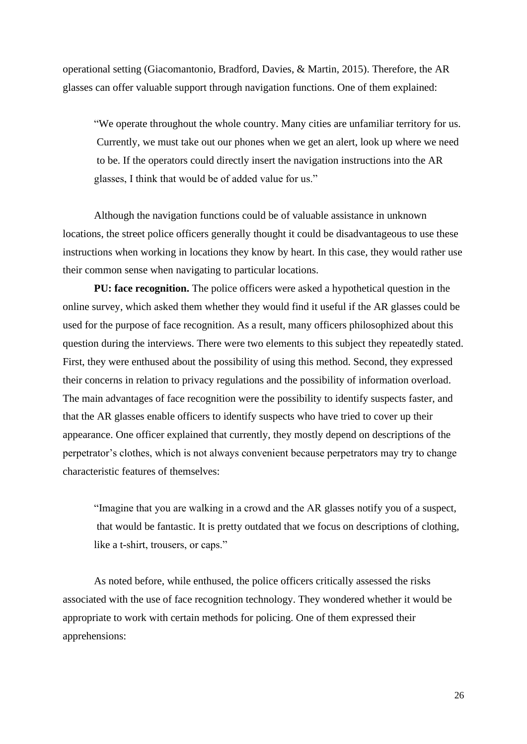operational setting (Giacomantonio, Bradford, Davies, & Martin, 2015). Therefore, the AR glasses can offer valuable support through navigation functions. One of them explained:

"We operate throughout the whole country. Many cities are unfamiliar territory for us. Currently, we must take out our phones when we get an alert, look up where we need to be. If the operators could directly insert the navigation instructions into the AR glasses, I think that would be of added value for us."

Although the navigation functions could be of valuable assistance in unknown locations, the street police officers generally thought it could be disadvantageous to use these instructions when working in locations they know by heart. In this case, they would rather use their common sense when navigating to particular locations.

**PU: face recognition.** The police officers were asked a hypothetical question in the online survey, which asked them whether they would find it useful if the AR glasses could be used for the purpose of face recognition. As a result, many officers philosophized about this question during the interviews. There were two elements to this subject they repeatedly stated. First, they were enthused about the possibility of using this method. Second, they expressed their concerns in relation to privacy regulations and the possibility of information overload. The main advantages of face recognition were the possibility to identify suspects faster, and that the AR glasses enable officers to identify suspects who have tried to cover up their appearance. One officer explained that currently, they mostly depend on descriptions of the perpetrator's clothes, which is not always convenient because perpetrators may try to change characteristic features of themselves:

"Imagine that you are walking in a crowd and the AR glasses notify you of a suspect, that would be fantastic. It is pretty outdated that we focus on descriptions of clothing, like a t-shirt, trousers, or caps."

As noted before, while enthused, the police officers critically assessed the risks associated with the use of face recognition technology. They wondered whether it would be appropriate to work with certain methods for policing. One of them expressed their apprehensions: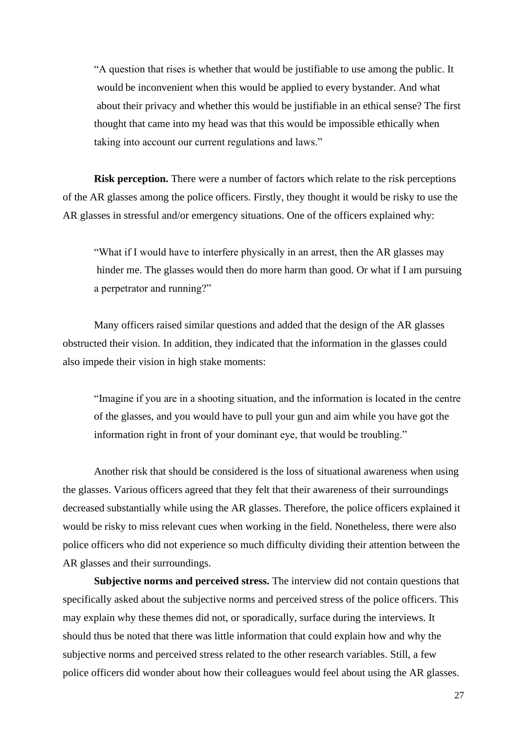"A question that rises is whether that would be justifiable to use among the public. It would be inconvenient when this would be applied to every bystander. And what about their privacy and whether this would be justifiable in an ethical sense? The first thought that came into my head was that this would be impossible ethically when taking into account our current regulations and laws."

**Risk perception.** There were a number of factors which relate to the risk perceptions of the AR glasses among the police officers. Firstly, they thought it would be risky to use the AR glasses in stressful and/or emergency situations. One of the officers explained why:

"What if I would have to interfere physically in an arrest, then the AR glasses may hinder me. The glasses would then do more harm than good. Or what if I am pursuing a perpetrator and running?"

Many officers raised similar questions and added that the design of the AR glasses obstructed their vision. In addition, they indicated that the information in the glasses could also impede their vision in high stake moments:

"Imagine if you are in a shooting situation, and the information is located in the centre of the glasses, and you would have to pull your gun and aim while you have got the information right in front of your dominant eye, that would be troubling."

Another risk that should be considered is the loss of situational awareness when using the glasses. Various officers agreed that they felt that their awareness of their surroundings decreased substantially while using the AR glasses. Therefore, the police officers explained it would be risky to miss relevant cues when working in the field. Nonetheless, there were also police officers who did not experience so much difficulty dividing their attention between the AR glasses and their surroundings.

**Subjective norms and perceived stress.** The interview did not contain questions that specifically asked about the subjective norms and perceived stress of the police officers. This may explain why these themes did not, or sporadically, surface during the interviews. It should thus be noted that there was little information that could explain how and why the subjective norms and perceived stress related to the other research variables. Still, a few police officers did wonder about how their colleagues would feel about using the AR glasses.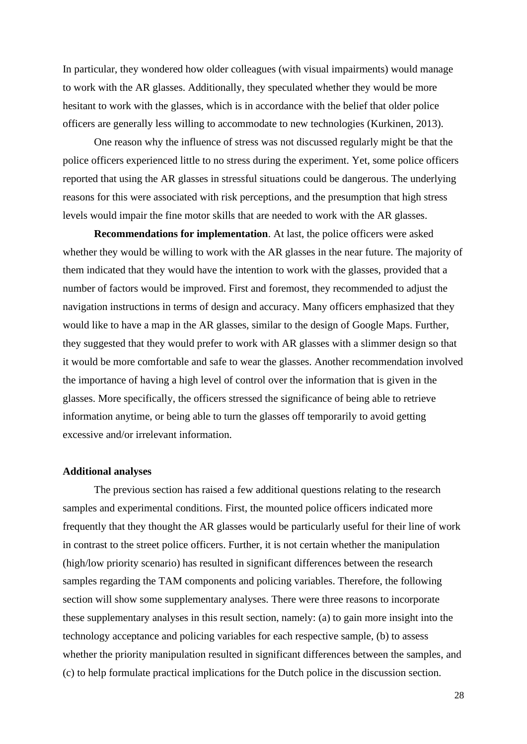In particular, they wondered how older colleagues (with visual impairments) would manage to work with the AR glasses. Additionally, they speculated whether they would be more hesitant to work with the glasses, which is in accordance with the belief that older police officers are generally less willing to accommodate to new technologies (Kurkinen, 2013).

One reason why the influence of stress was not discussed regularly might be that the police officers experienced little to no stress during the experiment. Yet, some police officers reported that using the AR glasses in stressful situations could be dangerous. The underlying reasons for this were associated with risk perceptions, and the presumption that high stress levels would impair the fine motor skills that are needed to work with the AR glasses.

**Recommendations for implementation**. At last, the police officers were asked whether they would be willing to work with the AR glasses in the near future. The majority of them indicated that they would have the intention to work with the glasses, provided that a number of factors would be improved. First and foremost, they recommended to adjust the navigation instructions in terms of design and accuracy. Many officers emphasized that they would like to have a map in the AR glasses, similar to the design of Google Maps. Further, they suggested that they would prefer to work with AR glasses with a slimmer design so that it would be more comfortable and safe to wear the glasses. Another recommendation involved the importance of having a high level of control over the information that is given in the glasses. More specifically, the officers stressed the significance of being able to retrieve information anytime, or being able to turn the glasses off temporarily to avoid getting excessive and/or irrelevant information.

# **Additional analyses**

The previous section has raised a few additional questions relating to the research samples and experimental conditions. First, the mounted police officers indicated more frequently that they thought the AR glasses would be particularly useful for their line of work in contrast to the street police officers. Further, it is not certain whether the manipulation (high/low priority scenario) has resulted in significant differences between the research samples regarding the TAM components and policing variables. Therefore, the following section will show some supplementary analyses. There were three reasons to incorporate these supplementary analyses in this result section, namely: (a) to gain more insight into the technology acceptance and policing variables for each respective sample, (b) to assess whether the priority manipulation resulted in significant differences between the samples, and (c) to help formulate practical implications for the Dutch police in the discussion section.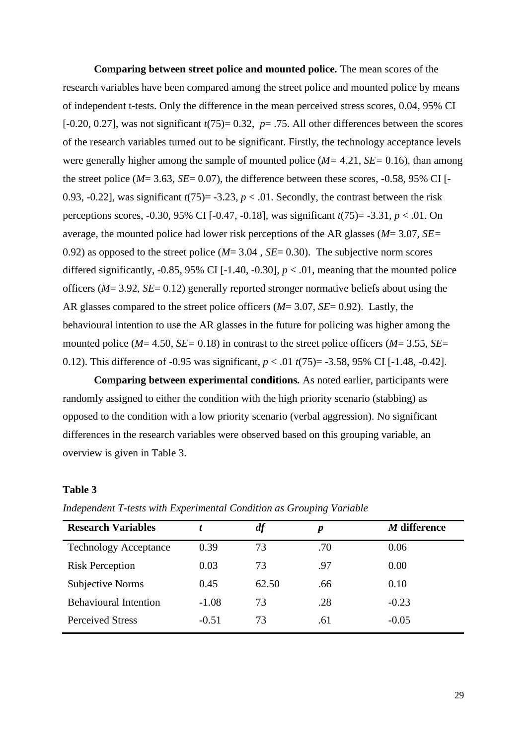**Comparing between street police and mounted police***.* The mean scores of the research variables have been compared among the street police and mounted police by means of independent t-tests. Only the difference in the mean perceived stress scores, 0.04, 95% CI [-0.20, 0.27], was not significant  $t(75)$ = 0.32,  $p= .75$ . All other differences between the scores of the research variables turned out to be significant. Firstly, the technology acceptance levels were generally higher among the sample of mounted police (*M=* 4.21*, SE=* 0.16), than among the street police ( $M = 3.63$ ,  $SE = 0.07$ ), the difference between these scores,  $-0.58$ , 95% CI [ $-$ 0.93, -0.22], was significant  $t(75)$ = -3.23,  $p < .01$ . Secondly, the contrast between the risk perceptions scores, -0.30, 95% CI [-0.47, -0.18], was significant *t*(75)= -3.31, *p* < .01. On average, the mounted police had lower risk perceptions of the AR glasses (*M*= 3.07, *SE=*  0.92) as opposed to the street police (*M*= 3.04 , *SE*= 0.30). The subjective norm scores differed significantly,  $-0.85$ , 95% CI [ $-1.40$ ,  $-0.30$ ],  $p < .01$ , meaning that the mounted police officers (*M*= 3.92, *SE*= 0.12) generally reported stronger normative beliefs about using the AR glasses compared to the street police officers (*M*= 3.07, *SE*= 0.92). Lastly, the behavioural intention to use the AR glasses in the future for policing was higher among the mounted police (*M*= 4.50, *SE=* 0.18) in contrast to the street police officers (*M*= 3.55, *SE*= 0.12). This difference of -0.95 was significant, *p* < .01 *t*(75)= -3.58, 95% CI [-1.48, -0.42].

**Comparing between experimental conditions***.* As noted earlier, participants were randomly assigned to either the condition with the high priority scenario (stabbing) as opposed to the condition with a low priority scenario (verbal aggression). No significant differences in the research variables were observed based on this grouping variable, an overview is given in Table 3.

# **Table 3**

| <b>Research Variables</b>    |         | df    | $\boldsymbol{p}$ | M difference |
|------------------------------|---------|-------|------------------|--------------|
| <b>Technology Acceptance</b> | 0.39    | 73    | .70              | 0.06         |
| <b>Risk Perception</b>       | 0.03    | 73    | .97              | 0.00         |
| Subjective Norms             | 0.45    | 62.50 | .66              | 0.10         |
| <b>Behavioural Intention</b> | $-1.08$ | 73    | .28              | $-0.23$      |
| <b>Perceived Stress</b>      | $-0.51$ | 73    | .61              | $-0.05$      |

*Independent T-tests with Experimental Condition as Grouping Variable*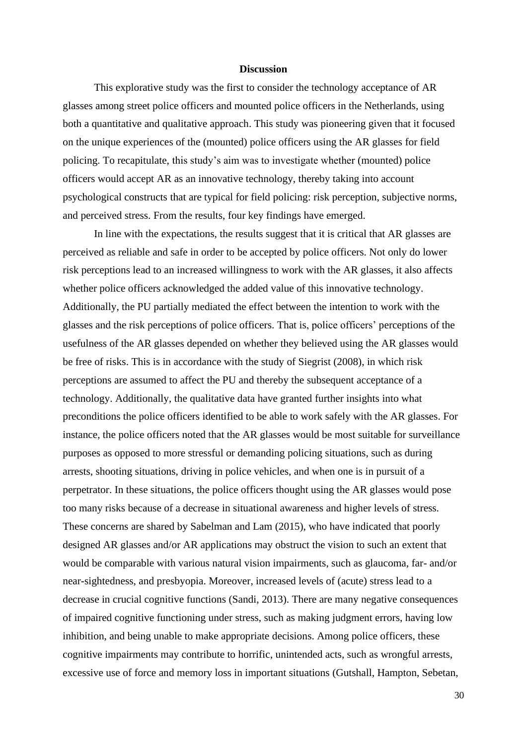#### **Discussion**

This explorative study was the first to consider the technology acceptance of AR glasses among street police officers and mounted police officers in the Netherlands, using both a quantitative and qualitative approach. This study was pioneering given that it focused on the unique experiences of the (mounted) police officers using the AR glasses for field policing. To recapitulate, this study's aim was to investigate whether (mounted) police officers would accept AR as an innovative technology, thereby taking into account psychological constructs that are typical for field policing: risk perception, subjective norms, and perceived stress. From the results, four key findings have emerged.

In line with the expectations, the results suggest that it is critical that AR glasses are perceived as reliable and safe in order to be accepted by police officers. Not only do lower risk perceptions lead to an increased willingness to work with the AR glasses, it also affects whether police officers acknowledged the added value of this innovative technology. Additionally, the PU partially mediated the effect between the intention to work with the glasses and the risk perceptions of police officers. That is, police officers' perceptions of the usefulness of the AR glasses depended on whether they believed using the AR glasses would be free of risks. This is in accordance with the study of Siegrist (2008), in which risk perceptions are assumed to affect the PU and thereby the subsequent acceptance of a technology. Additionally, the qualitative data have granted further insights into what preconditions the police officers identified to be able to work safely with the AR glasses. For instance, the police officers noted that the AR glasses would be most suitable for surveillance purposes as opposed to more stressful or demanding policing situations, such as during arrests, shooting situations, driving in police vehicles, and when one is in pursuit of a perpetrator. In these situations, the police officers thought using the AR glasses would pose too many risks because of a decrease in situational awareness and higher levels of stress. These concerns are shared by Sabelman and Lam (2015), who have indicated that poorly designed AR glasses and/or AR applications may obstruct the vision to such an extent that would be comparable with various natural vision impairments, such as glaucoma, far- and/or near-sightedness, and presbyopia. Moreover, increased levels of (acute) stress lead to a decrease in crucial cognitive functions (Sandi, 2013). There are many negative consequences of impaired cognitive functioning under stress, such as making judgment errors, having low inhibition, and being unable to make appropriate decisions. Among police officers, these cognitive impairments may contribute to horrific, unintended acts, such as wrongful arrests, excessive use of force and memory loss in important situations (Gutshall, Hampton, Sebetan,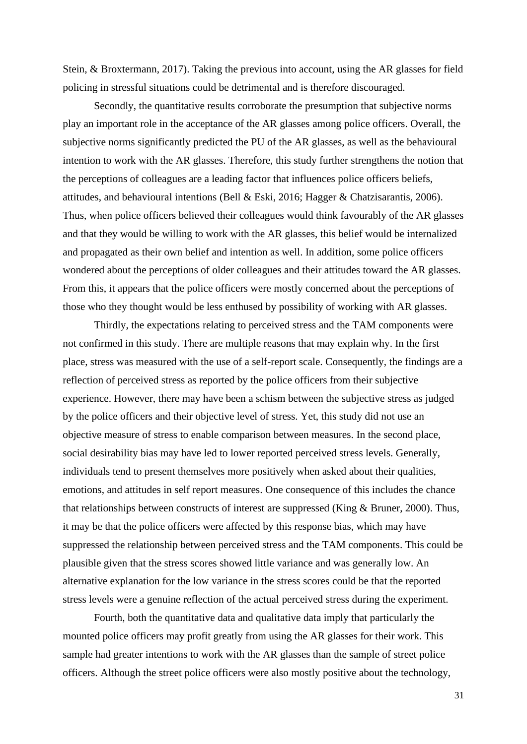Stein, & Broxtermann, 2017). Taking the previous into account, using the AR glasses for field policing in stressful situations could be detrimental and is therefore discouraged.

Secondly, the quantitative results corroborate the presumption that subjective norms play an important role in the acceptance of the AR glasses among police officers. Overall, the subjective norms significantly predicted the PU of the AR glasses, as well as the behavioural intention to work with the AR glasses. Therefore, this study further strengthens the notion that the perceptions of colleagues are a leading factor that influences police officers beliefs, attitudes, and behavioural intentions (Bell & Eski, 2016; Hagger & Chatzisarantis, 2006). Thus, when police officers believed their colleagues would think favourably of the AR glasses and that they would be willing to work with the AR glasses, this belief would be internalized and propagated as their own belief and intention as well. In addition, some police officers wondered about the perceptions of older colleagues and their attitudes toward the AR glasses. From this, it appears that the police officers were mostly concerned about the perceptions of those who they thought would be less enthused by possibility of working with AR glasses.

Thirdly, the expectations relating to perceived stress and the TAM components were not confirmed in this study. There are multiple reasons that may explain why. In the first place, stress was measured with the use of a self-report scale. Consequently, the findings are a reflection of perceived stress as reported by the police officers from their subjective experience. However, there may have been a schism between the subjective stress as judged by the police officers and their objective level of stress. Yet, this study did not use an objective measure of stress to enable comparison between measures. In the second place, social desirability bias may have led to lower reported perceived stress levels. Generally, individuals tend to present themselves more positively when asked about their qualities, emotions, and attitudes in self report measures. One consequence of this includes the chance that relationships between constructs of interest are suppressed (King & Bruner, 2000). Thus, it may be that the police officers were affected by this response bias, which may have suppressed the relationship between perceived stress and the TAM components. This could be plausible given that the stress scores showed little variance and was generally low. An alternative explanation for the low variance in the stress scores could be that the reported stress levels were a genuine reflection of the actual perceived stress during the experiment.

Fourth, both the quantitative data and qualitative data imply that particularly the mounted police officers may profit greatly from using the AR glasses for their work. This sample had greater intentions to work with the AR glasses than the sample of street police officers. Although the street police officers were also mostly positive about the technology,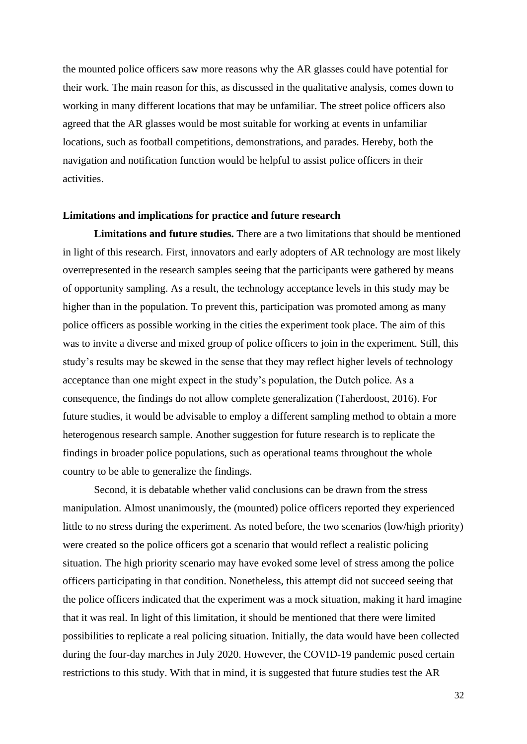the mounted police officers saw more reasons why the AR glasses could have potential for their work. The main reason for this, as discussed in the qualitative analysis, comes down to working in many different locations that may be unfamiliar. The street police officers also agreed that the AR glasses would be most suitable for working at events in unfamiliar locations, such as football competitions, demonstrations, and parades. Hereby, both the navigation and notification function would be helpful to assist police officers in their activities.

#### **Limitations and implications for practice and future research**

**Limitations and future studies.** There are a two limitations that should be mentioned in light of this research. First, innovators and early adopters of AR technology are most likely overrepresented in the research samples seeing that the participants were gathered by means of opportunity sampling. As a result, the technology acceptance levels in this study may be higher than in the population. To prevent this, participation was promoted among as many police officers as possible working in the cities the experiment took place. The aim of this was to invite a diverse and mixed group of police officers to join in the experiment. Still, this study's results may be skewed in the sense that they may reflect higher levels of technology acceptance than one might expect in the study's population, the Dutch police. As a consequence, the findings do not allow complete generalization (Taherdoost, 2016). For future studies, it would be advisable to employ a different sampling method to obtain a more heterogenous research sample. Another suggestion for future research is to replicate the findings in broader police populations, such as operational teams throughout the whole country to be able to generalize the findings.

Second, it is debatable whether valid conclusions can be drawn from the stress manipulation. Almost unanimously, the (mounted) police officers reported they experienced little to no stress during the experiment. As noted before, the two scenarios (low/high priority) were created so the police officers got a scenario that would reflect a realistic policing situation. The high priority scenario may have evoked some level of stress among the police officers participating in that condition. Nonetheless, this attempt did not succeed seeing that the police officers indicated that the experiment was a mock situation, making it hard imagine that it was real. In light of this limitation, it should be mentioned that there were limited possibilities to replicate a real policing situation. Initially, the data would have been collected during the four-day marches in July 2020. However, the COVID-19 pandemic posed certain restrictions to this study. With that in mind, it is suggested that future studies test the AR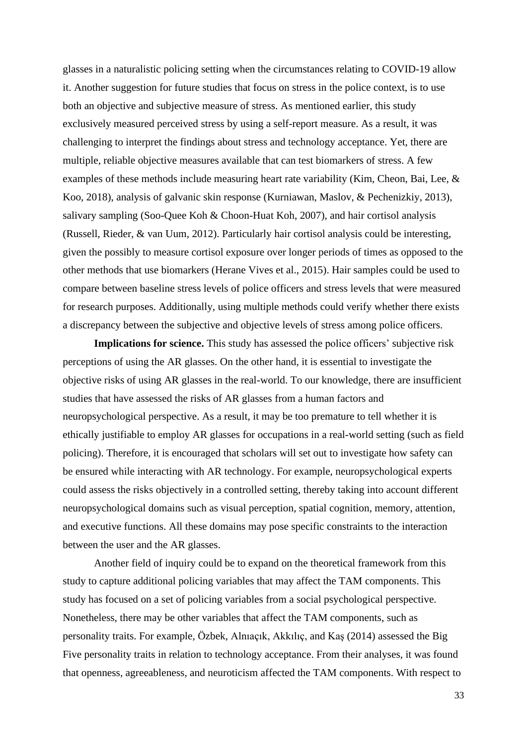glasses in a naturalistic policing setting when the circumstances relating to COVID-19 allow it. Another suggestion for future studies that focus on stress in the police context, is to use both an objective and subjective measure of stress. As mentioned earlier, this study exclusively measured perceived stress by using a self-report measure. As a result, it was challenging to interpret the findings about stress and technology acceptance. Yet, there are multiple, reliable objective measures available that can test biomarkers of stress. A few examples of these methods include measuring heart rate variability (Kim, Cheon, Bai, Lee, & Koo, 2018), analysis of galvanic skin response (Kurniawan, Maslov, & Pechenizkiy, 2013), salivary sampling (Soo-Quee Koh & Choon-Huat Koh, 2007), and hair cortisol analysis (Russell, Rieder, & van Uum, 2012). Particularly hair cortisol analysis could be interesting, given the possibly to measure cortisol exposure over longer periods of times as opposed to the other methods that use biomarkers (Herane Vives et al., 2015). Hair samples could be used to compare between baseline stress levels of police officers and stress levels that were measured for research purposes. Additionally, using multiple methods could verify whether there exists a discrepancy between the subjective and objective levels of stress among police officers.

**Implications for science.** This study has assessed the police officers' subjective risk perceptions of using the AR glasses. On the other hand, it is essential to investigate the objective risks of using AR glasses in the real-world. To our knowledge, there are insufficient studies that have assessed the risks of AR glasses from a human factors and neuropsychological perspective. As a result, it may be too premature to tell whether it is ethically justifiable to employ AR glasses for occupations in a real-world setting (such as field policing). Therefore, it is encouraged that scholars will set out to investigate how safety can be ensured while interacting with AR technology. For example, neuropsychological experts could assess the risks objectively in a controlled setting, thereby taking into account different neuropsychological domains such as visual perception, spatial cognition, memory, attention, and executive functions. All these domains may pose specific constraints to the interaction between the user and the AR glasses.

Another field of inquiry could be to expand on the theoretical framework from this study to capture additional policing variables that may affect the TAM components. This study has focused on a set of policing variables from a social psychological perspective. Nonetheless, there may be other variables that affect the TAM components, such as personality traits. For example, Özbek, Alnıaçık, Akkılıç, and Kaş (2014) assessed the Big Five personality traits in relation to technology acceptance. From their analyses, it was found that openness, agreeableness, and neuroticism affected the TAM components. With respect to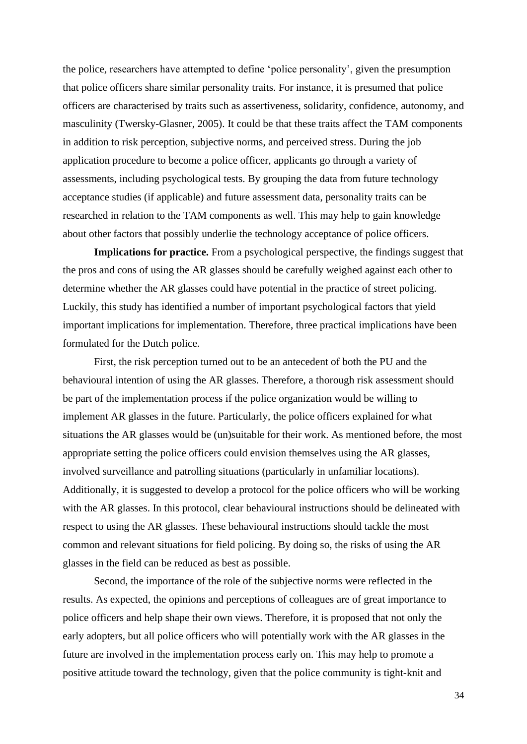the police, researchers have attempted to define 'police personality', given the presumption that police officers share similar personality traits. For instance, it is presumed that police officers are characterised by traits such as assertiveness, solidarity, confidence, autonomy, and masculinity (Twersky-Glasner, 2005). It could be that these traits affect the TAM components in addition to risk perception, subjective norms, and perceived stress. During the job application procedure to become a police officer, applicants go through a variety of assessments, including psychological tests. By grouping the data from future technology acceptance studies (if applicable) and future assessment data, personality traits can be researched in relation to the TAM components as well. This may help to gain knowledge about other factors that possibly underlie the technology acceptance of police officers.

**Implications for practice.** From a psychological perspective, the findings suggest that the pros and cons of using the AR glasses should be carefully weighed against each other to determine whether the AR glasses could have potential in the practice of street policing. Luckily, this study has identified a number of important psychological factors that yield important implications for implementation. Therefore, three practical implications have been formulated for the Dutch police.

First, the risk perception turned out to be an antecedent of both the PU and the behavioural intention of using the AR glasses. Therefore, a thorough risk assessment should be part of the implementation process if the police organization would be willing to implement AR glasses in the future. Particularly, the police officers explained for what situations the AR glasses would be (un)suitable for their work. As mentioned before, the most appropriate setting the police officers could envision themselves using the AR glasses, involved surveillance and patrolling situations (particularly in unfamiliar locations). Additionally, it is suggested to develop a protocol for the police officers who will be working with the AR glasses. In this protocol, clear behavioural instructions should be delineated with respect to using the AR glasses. These behavioural instructions should tackle the most common and relevant situations for field policing. By doing so, the risks of using the AR glasses in the field can be reduced as best as possible.

Second, the importance of the role of the subjective norms were reflected in the results. As expected, the opinions and perceptions of colleagues are of great importance to police officers and help shape their own views. Therefore, it is proposed that not only the early adopters, but all police officers who will potentially work with the AR glasses in the future are involved in the implementation process early on. This may help to promote a positive attitude toward the technology, given that the police community is tight-knit and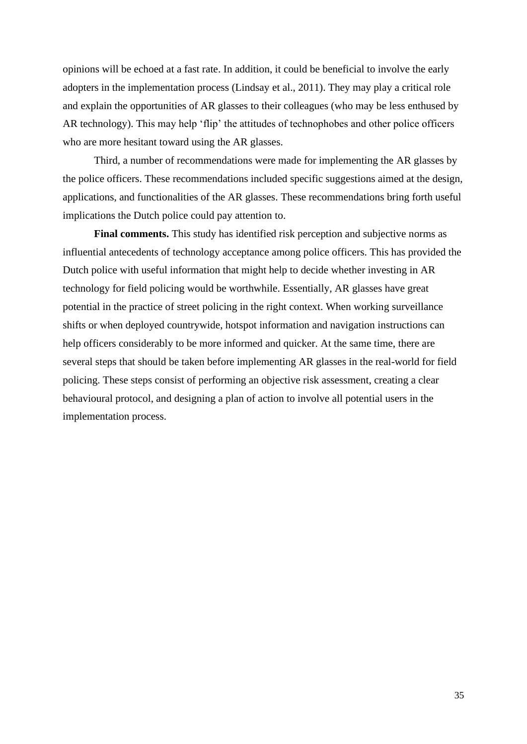opinions will be echoed at a fast rate. In addition, it could be beneficial to involve the early adopters in the implementation process (Lindsay et al., 2011). They may play a critical role and explain the opportunities of AR glasses to their colleagues (who may be less enthused by AR technology). This may help 'flip' the attitudes of technophobes and other police officers who are more hesitant toward using the AR glasses.

Third, a number of recommendations were made for implementing the AR glasses by the police officers. These recommendations included specific suggestions aimed at the design, applications, and functionalities of the AR glasses. These recommendations bring forth useful implications the Dutch police could pay attention to.

**Final comments.** This study has identified risk perception and subjective norms as influential antecedents of technology acceptance among police officers. This has provided the Dutch police with useful information that might help to decide whether investing in AR technology for field policing would be worthwhile. Essentially, AR glasses have great potential in the practice of street policing in the right context. When working surveillance shifts or when deployed countrywide, hotspot information and navigation instructions can help officers considerably to be more informed and quicker. At the same time, there are several steps that should be taken before implementing AR glasses in the real-world for field policing. These steps consist of performing an objective risk assessment, creating a clear behavioural protocol, and designing a plan of action to involve all potential users in the implementation process.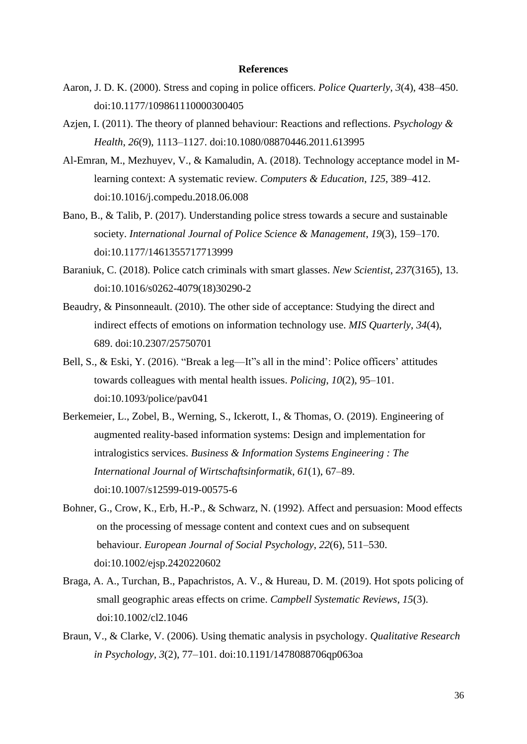#### **References**

- Aaron, J. D. K. (2000). Stress and coping in police officers. *Police Quarterly*, *3*(4), 438–450. doi:10.1177/109861110000300405
- Azjen, I. (2011). The theory of planned behaviour: Reactions and reflections. *Psychology & Health*, *26*(9), 1113–1127. doi:10.1080/08870446.2011.613995
- Al-Emran, M., Mezhuyev, V., & Kamaludin, A. (2018). Technology acceptance model in Mlearning context: A systematic review*. Computers & Education*, *125*, 389–412. doi:10.1016/j.compedu.2018.06.008
- Bano, B., & Talib, P. (2017). Understanding police stress towards a secure and sustainable society. *International Journal of Police Science & Management*, *19*(3), 159–170. doi:10.1177/1461355717713999
- Baraniuk, C. (2018). Police catch criminals with smart glasses. *New Scientist*, *237*(3165), 13. doi:10.1016/s0262-4079(18)30290-2
- Beaudry, & Pinsonneault. (2010). The other side of acceptance: Studying the direct and indirect effects of emotions on information technology use. *MIS Quarterly*, *34*(4), 689. doi:10.2307/25750701
- Bell, S., & Eski, Y. (2016). "Break a leg—It"s all in the mind': Police officers' attitudes towards colleagues with mental health issues. *Policing*, *10*(2), 95–101. doi:10.1093/police/pav041
- Berkemeier, L., Zobel, B., Werning, S., Ickerott, I., & Thomas, O. (2019). Engineering of augmented reality-based information systems: Design and implementation for intralogistics services. *Business & Information Systems Engineering : The International Journal of Wirtschaftsinformatik*, *61*(1), 67–89. doi:10.1007/s12599-019-00575-6
- Bohner, G., Crow, K., Erb, H.-P., & Schwarz, N. (1992). Affect and persuasion: Mood effects on the processing of message content and context cues and on subsequent behaviour. *European Journal of Social Psychology*, *22*(6), 511–530. doi:10.1002/ejsp.2420220602
- Braga, A. A., Turchan, B., Papachristos, A. V., & Hureau, D. M. (2019). Hot spots policing of small geographic areas effects on crime. *Campbell Systematic Reviews*, *15*(3). doi:10.1002/cl2.1046
- Braun, V., & Clarke, V. (2006). Using thematic analysis in psychology. *Qualitative Research in Psychology, 3*(2), 77–101. doi:10.1191/1478088706qp063oa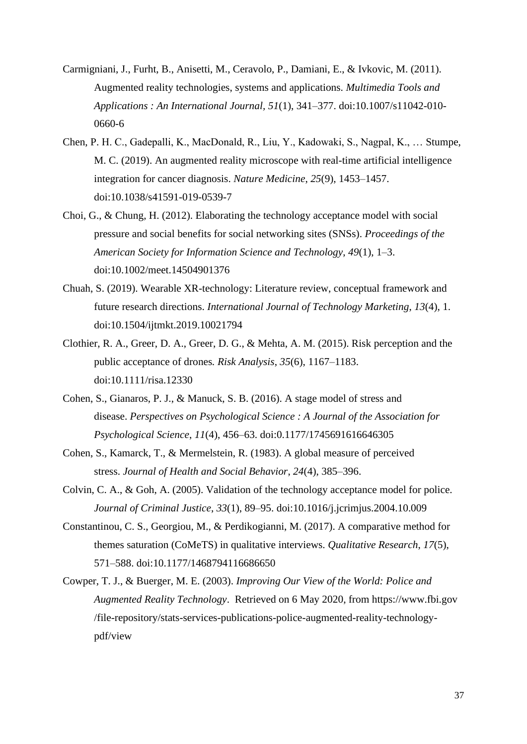- Carmigniani, J., Furht, B., Anisetti, M., Ceravolo, P., Damiani, E., & Ivkovic, M. (2011). Augmented reality technologies, systems and applications. *Multimedia Tools and Applications : An International Journal, 51*(1), 341–377. [doi:10.1007/s11042-010-](https://doi.org/10.1007/s11042-010-0660-6) [0660-6](https://doi.org/10.1007/s11042-010-0660-6)
- Chen, P. H. C., Gadepalli, K., MacDonald, R., Liu, Y., Kadowaki, S., Nagpal, K., … Stumpe, M. C. (2019). An augmented reality microscope with real-time artificial intelligence integration for cancer diagnosis. *Nature Medicine*, *25*(9), 1453–1457. doi:10.1038/s41591-019-0539-7
- Choi, G., & Chung, H. (2012). Elaborating the technology acceptance model with social pressure and social benefits for social networking sites (SNSs). *Proceedings of the American Society for Information Science and Technology*, *49*(1), 1–3. doi:10.1002/meet.14504901376
- Chuah, S. (2019). Wearable XR-technology: Literature review, conceptual framework and future research directions. *International Journal of Technology Marketing*, *13*(4), 1. doi:10.1504/ijtmkt.2019.10021794
- Clothier, R. A., Greer, D. A., Greer, D. G., & Mehta, A. M. (2015). Risk perception and the public acceptance of drones*. Risk Analysis*, *35*(6), 1167–1183. doi:10.1111/risa.12330
- Cohen, S., Gianaros, P. J., & Manuck, S. B. (2016). A stage model of stress and disease. *Perspectives on Psychological Science : A Journal of the Association for Psychological Science*, *11*(4), 456–63. [doi:0.1177/1745691616646305](https://doi.org/10.1177/1745691616646305)
- Cohen, S., Kamarck, T., & Mermelstein, R. (1983). A global measure of perceived stress. *Journal of Health and Social Behavior*, *24*(4), 385–396.
- Colvin, C. A., & Goh, A. (2005). Validation of the technology acceptance model for police. *Journal of Criminal Justice*, *33*(1), 89–95. doi:10.1016/j.jcrimjus.2004.10.009
- Constantinou, C. S., Georgiou, M., & Perdikogianni, M. (2017). A comparative method for themes saturation (CoMeTS) in qualitative interviews. *Qualitative Research*, *17*(5), 571–588. doi:10.1177/1468794116686650
- Cowper, T. J., & Buerger, M. E. (2003). *Improving Our View of the World: Police and Augmented Reality Technology*. Retrieved on 6 May 2020, from https://www.fbi.gov /file-repository/stats-services-publications-police-augmented-reality-technologypdf/view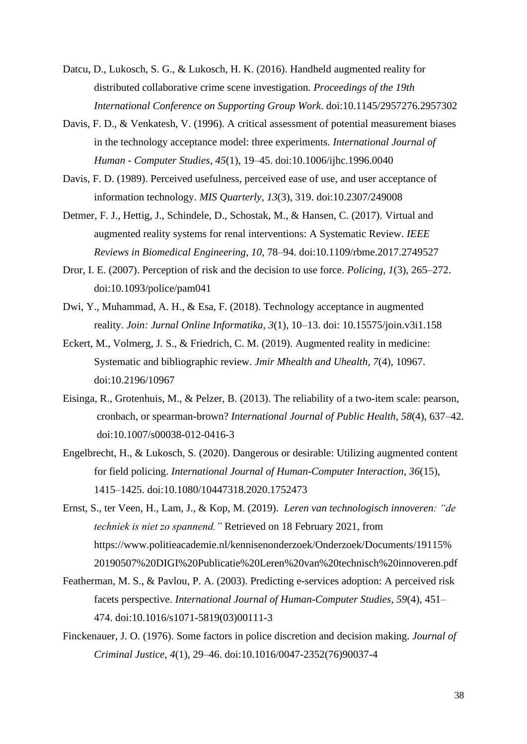- Datcu, D., Lukosch, S. G., & Lukosch, H. K. (2016). Handheld augmented reality for distributed collaborative crime scene investigation. *Proceedings of the 19th International Conference on Supporting Group Work*. doi:10.1145/2957276.2957302
- Davis, F. D., & Venkatesh, V. (1996). A critical assessment of potential measurement biases in the technology acceptance model: three experiments. *International Journal of Human - Computer Studies*, *45*(1), 19–45. doi:10.1006/ijhc.1996.0040
- Davis, F. D. (1989). Perceived usefulness, perceived ease of use, and user acceptance of information technology. *MIS Quarterly*, *13*(3), 319. doi:10.2307/249008
- Detmer, F. J., Hettig, J., Schindele, D., Schostak, M., & Hansen, C. (2017). Virtual and augmented reality systems for renal interventions: A Systematic Review. *IEEE Reviews in Biomedical Engineering, 10*, 78–94. doi:10.1109/rbme.2017.2749527
- Dror, I. E. (2007). Perception of risk and the decision to use force. *Policing*, *1*(3), 265–272. doi:10.1093/police/pam041
- Dwi, Y., Muhammad, A. H., & Esa, F. (2018). Technology acceptance in augmented reality. *Join: Jurnal Online Informatika*, *3*(1), 10–13. doi: 10.15575/join.v3i1.158
- Eckert, M., Volmerg, J. S., & Friedrich, C. M. (2019). Augmented reality in medicine: Systematic and bibliographic review. *Jmir Mhealth and Uhealth*, *7*(4), 10967. doi:10.2196/10967
- Eisinga, R., Grotenhuis, M., & Pelzer, B. (2013). The reliability of a two-item scale: pearson, cronbach, or spearman-brown? *International Journal of Public Health*, *58*(4), 637–42. doi:10.1007/s00038-012-0416-3
- Engelbrecht, H., & Lukosch, S. (2020). Dangerous or desirable: Utilizing augmented content for field policing. *International Journal of Human-Computer Interaction*, *36*(15), 1415–1425. doi[:10.1080/10447318.2020.1752473](https://doi.org/10.1080/10447318.2020.1752473)
- Ernst, S., ter Veen, H., Lam, J., & Kop, M. (2019). *Leren van technologisch innoveren: "de techniek is niet zo spannend."* Retrieved on 18 February 2021, from https://www.politieacademie.nl/kennisenonderzoek/Onderzoek/Documents/19115% 20190507%20DIGI%20Publicatie%20Leren%20van%20technisch%20innoveren.pdf
- Featherman, M. S., & Pavlou, P. A. (2003). Predicting e-services adoption: A perceived risk facets perspective. *International Journal of Human-Computer Studies*, *59*(4), 451– 474. doi:10.1016/s1071-5819(03)00111-3
- Finckenauer, J. O. (1976). Some factors in police discretion and decision making. *Journal of Criminal Justice*, *4*(1), 29–46. doi:10.1016/0047-2352(76)90037-4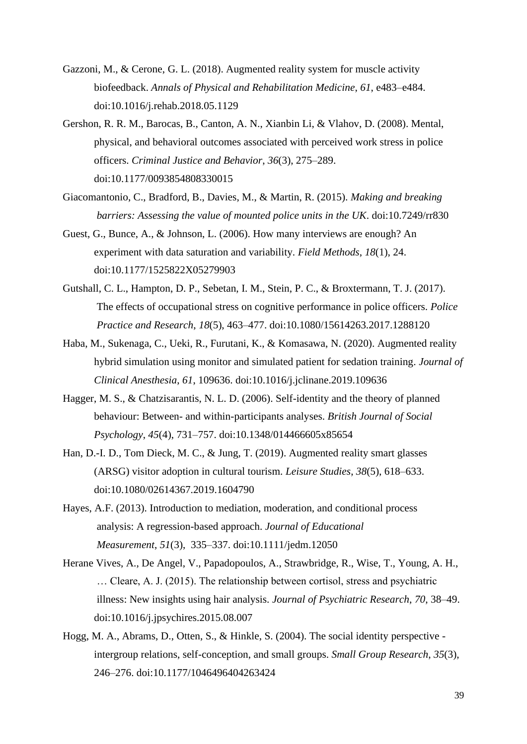- Gazzoni, M., & Cerone, G. L. (2018). Augmented reality system for muscle activity biofeedback. *Annals of Physical and Rehabilitation Medicine*, *61*, e483–e484. doi:10.1016/j.rehab.2018.05.1129
- Gershon, R. R. M., Barocas, B., Canton, A. N., Xianbin Li, & Vlahov, D. (2008). Mental, physical, and behavioral outcomes associated with perceived work stress in police officers. *Criminal Justice and Behavior*, *36*(3), 275–289. doi:10.1177/0093854808330015
- Giacomantonio, C., Bradford, B., Davies, M., & Martin, R. (2015). *Making and breaking barriers: Assessing the value of mounted police units in the UK*. doi:10.7249/rr830
- Guest, G., Bunce, A., & Johnson, L. (2006). How many interviews are enough? An experiment with data saturation and variability. *Field Methods*, *18*(1), 24. doi:10.1177/1525822X05279903
- Gutshall, C. L., Hampton, D. P., Sebetan, I. M., Stein, P. C., & Broxtermann, T. J. (2017). The effects of occupational stress on cognitive performance in police officers. *Police Practice and Research*, *18*(5), 463–477. doi:10.1080/15614263.2017.1288120
- Haba, M., Sukenaga, C., Ueki, R., Furutani, K., & Komasawa, N. (2020). Augmented reality hybrid simulation using monitor and simulated patient for sedation training. *Journal of Clinical Anesthesia*, *61*, 109636. doi:10.1016/j.jclinane.2019.109636
- Hagger, M. S., & Chatzisarantis, N. L. D. (2006). Self-identity and the theory of planned behaviour: Between- and within-participants analyses. *British Journal of Social Psychology*, *45*(4), 731–757. doi:10.1348/014466605x85654
- Han, D.-I. D., Tom Dieck, M. C., & Jung, T. (2019). Augmented reality smart glasses (ARSG) visitor adoption in cultural tourism. *Leisure Studies*, *38*(5), 618–633. doi:10.1080/02614367.2019.1604790
- Hayes, A.F. (2013). Introduction to mediation, moderation, and conditional process analysis: A regression-based approach. *Journal of Educational Measurement*, *51*(3), 335–337. doi:10.1111/jedm.12050
- Herane Vives, A., De Angel, V., Papadopoulos, A., Strawbridge, R., Wise, T., Young, A. H., … Cleare, A. J. (2015). The relationship between cortisol, stress and psychiatric illness: New insights using hair analysis. *Journal of Psychiatric Research*, *70*, 38–49. doi:10.1016/j.jpsychires.2015.08.007
- Hogg, M. A., Abrams, D., Otten, S., & Hinkle, S. (2004). The social identity perspective intergroup relations, self-conception, and small groups. *Small Group Research*, *35*(3), 246–276. doi[:10.1177/1046496404263424](https://doi-org.ezproxy2.utwente.nl/10.1177/1046496404263424)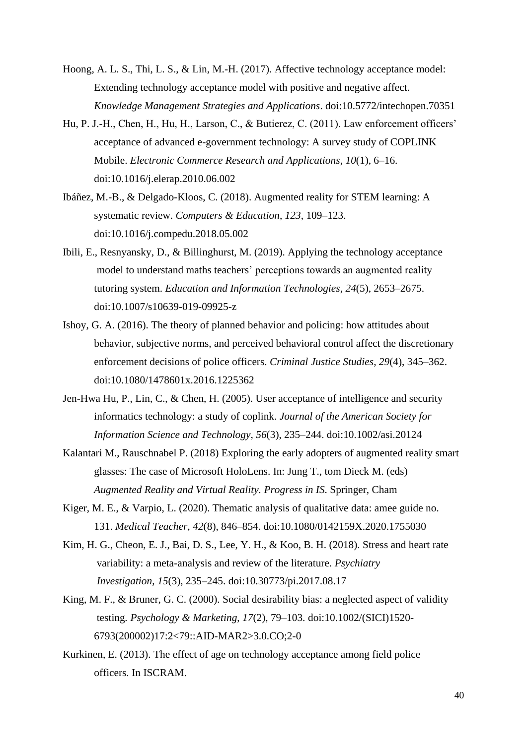- Hoong, A. L. S., Thi, L. S., & Lin, M.-H. (2017). Affective technology acceptance model: Extending technology acceptance model with positive and negative affect. *Knowledge Management Strategies and Applications*. doi:10.5772/intechopen.70351
- Hu, P. J.-H., Chen, H., Hu, H., Larson, C., & Butierez, C. (2011). Law enforcement officers' acceptance of advanced e-government technology: A survey study of COPLINK Mobile. *Electronic Commerce Research and Applications*, *10*(1), 6–16. doi:10.1016/j.elerap.2010.06.002
- Ibáñez, M.-B., & Delgado-Kloos, C. (2018). Augmented reality for STEM learning: A systematic review. *Computers & Education*, *123*, 109–123. doi:10.1016/j.compedu.2018.05.002
- Ibili, E., Resnyansky, D., & Billinghurst, M. (2019). Applying the technology acceptance model to understand maths teachers' perceptions towards an augmented reality tutoring system. *Education and Information Technologies*, *24*(5), 2653–2675. doi:10.1007/s10639-019-09925-z
- Ishoy, G. A. (2016). The theory of planned behavior and policing: how attitudes about behavior, subjective norms, and perceived behavioral control affect the discretionary enforcement decisions of police officers. *Criminal Justice Studies*, *29*(4), 345–362. doi:10.1080/1478601x.2016.1225362
- Jen-Hwa Hu, P., Lin, C., & Chen, H. (2005). User acceptance of intelligence and security informatics technology: a study of coplink. *Journal of the American Society for Information Science and Technology*, *56*(3), 235–244. doi:10.1002/asi.20124
- Kalantari M., Rauschnabel P. (2018) Exploring the early adopters of augmented reality smart glasses: The case of Microsoft HoloLens. In: Jung T., tom Dieck M. (eds) *Augmented Reality and Virtual Reality. Progress in IS*. Springer, Cham
- Kiger, M. E., & Varpio, L. (2020). Thematic analysis of qualitative data: amee guide no. 131. *Medical Teacher*, *42*(8), 846–854. doi:10.1080/0142159X.2020.1755030
- Kim, H. G., Cheon, E. J., Bai, D. S., Lee, Y. H., & Koo, B. H. (2018). Stress and heart rate variability: a meta-analysis and review of the literature. *Psychiatry Investigation*, *15*(3), 235–245. doi:10.30773/pi.2017.08.17
- King, M. F., & Bruner, G. C. (2000). Social desirability bias: a neglected aspect of validity testing*. Psychology & Marketing*, *17*(2), 79–103. [doi:10.1002/\(SICI\)1520-](https://doi.org/10.1002/(SICI)1520-) 6793(200002)17:2<79::AID-MAR2>3.0.CO;2-0
- Kurkinen, E. (2013). The effect of age on technology acceptance among field police officers. In ISCRAM.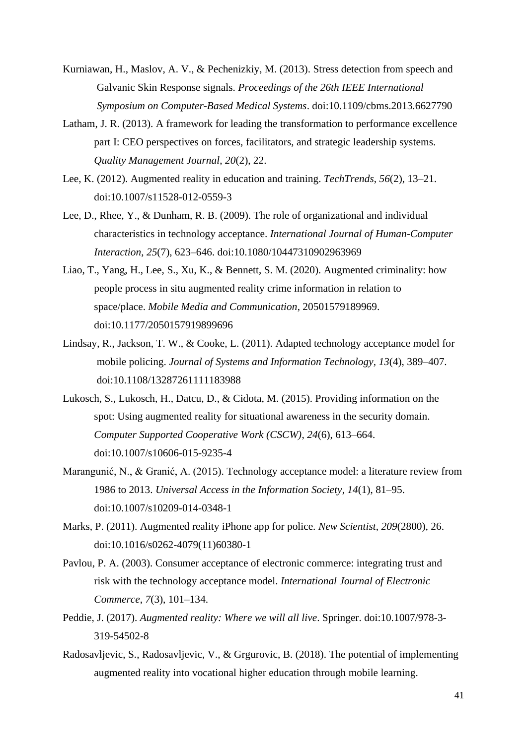- Kurniawan, H., Maslov, A. V., & Pechenizkiy, M. (2013). Stress detection from speech and Galvanic Skin Response signals. *Proceedings of the 26th IEEE International Symposium on Computer-Based Medical Systems*. doi:10.1109/cbms.2013.6627790
- Latham, J. R. (2013). A framework for leading the transformation to performance excellence part I: CEO perspectives on forces, facilitators, and strategic leadership systems. *Quality Management Journal*, *20*(2), 22.
- Lee, K. (2012). Augmented reality in education and training. *TechTrends*, *56*(2), 13–21. doi:10.1007/s11528-012-0559-3
- Lee, D., Rhee, Y., & Dunham, R. B. (2009). The role of organizational and individual characteristics in technology acceptance. *International Journal of Human-Computer Interaction*, *25*(7), 623–646. doi:10.1080/10447310902963969
- Liao, T., Yang, H., Lee, S., Xu, K., & Bennett, S. M. (2020). Augmented criminality: how people process in situ augmented reality crime information in relation to space/place. *Mobile Media and Communication*, 20501579189969. doi:10.1177/2050157919899696
- Lindsay, R., Jackson, T. W., & Cooke, L. (2011). Adapted technology acceptance model for mobile policing. *Journal of Systems and Information Technology, 13*(4), 389–407. doi:10.1108/13287261111183988
- Lukosch, S., Lukosch, H., Datcu, D., & Cidota, M. (2015). Providing information on the spot: Using augmented reality for situational awareness in the security domain. *Computer Supported Cooperative Work (CSCW)*, *24*(6), 613–664. doi:10.1007/s10606-015-9235-4
- Marangunić, N., & Granić, A. (2015). Technology acceptance model: a literature review from 1986 to 2013. *Universal Access in the Information Society*, *14*(1), 81–95. doi:10.1007/s10209-014-0348-1
- Marks, P. (2011). Augmented reality iPhone app for police. *New Scientist*, *209*(2800), 26. doi:10.1016/s0262-4079(11)60380-1
- Pavlou, P. A. (2003). Consumer acceptance of electronic commerce: integrating trust and risk with the technology acceptance model. *International Journal of Electronic Commerce*, *7*(3), 101–134.
- Peddie, J. (2017). *Augmented reality: Where we will all live*. Springer. doi:10.1007/978-3- 319-54502-8
- Radosavljevic, S., Radosavljevic, V., & Grgurovic, B. (2018). The potential of implementing augmented reality into vocational higher education through mobile learning.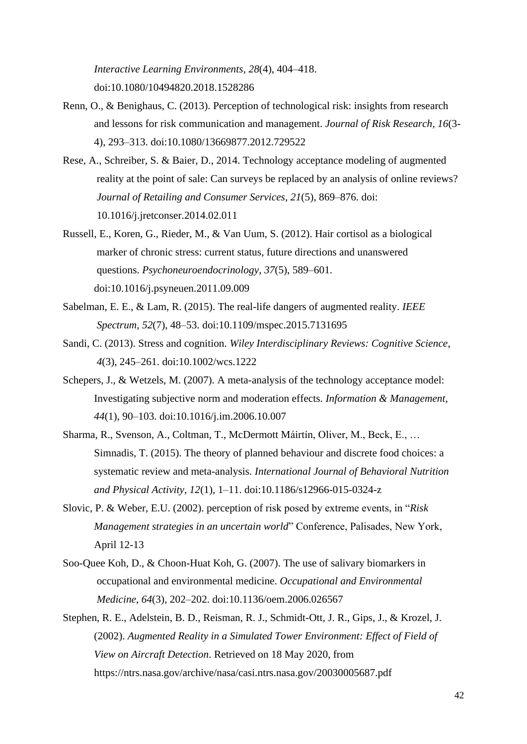*Interactive Learning Environments*, *28*(4), 404–418. doi:10.1080/10494820.2018.1528286

- Renn, O., & Benighaus, C. (2013). Perception of technological risk: insights from research and lessons for risk communication and management. *Journal of Risk Research*, *16*(3- 4), 293–313. doi:10.1080/13669877.2012.729522
- Rese, A., Schreiber, S. & Baier, D., 2014. Technology acceptance modeling of augmented reality at the point of sale: Can surveys be replaced by an analysis of online reviews? *Journal of Retailing and Consumer Services*, *21*(5), 869–876. doi: 10.1016/j.jretconser.2014.02.011
- Russell, E., Koren, G., Rieder, M., & Van Uum, S. (2012). Hair cortisol as a biological marker of chronic stress: current status, future directions and unanswered questions. *Psychoneuroendocrinology*, *37*(5), 589–601. doi:10.1016/j.psyneuen.2011.09.009
- Sabelman, E. E., & Lam, R. (2015). The real-life dangers of augmented reality. *IEEE Spectrum*, *52*(7), 48–53. doi:10.1109/mspec.2015.7131695
- Sandi, C. (2013). Stress and cognition. *Wiley Interdisciplinary Reviews: Cognitive Science*, *4*(3), 245–261. doi:10.1002/wcs.1222
- Schepers, J., & Wetzels, M. (2007). A meta-analysis of the technology acceptance model: Investigating subjective norm and moderation effects. *Information & Management*, *44*(1), 90–103. doi:10.1016/j.im.2006.10.007
- Sharma, R., Svenson, A., Coltman, T., McDermott Máirtín, Oliver, M., Beck, E., … Simnadis, T. (2015). The theory of planned behaviour and discrete food choices: a systematic review and meta-analysis. *International Journal of Behavioral Nutrition and Physical Activity*, *12*(1), 1–11. doi:10.1186/s12966-015-0324-z
- Slovic, P. & Weber, E.U. (2002). perception of risk posed by extreme events, in "*Risk Management strategies in an uncertain world*" Conference, Palisades, New York, April 12-13
- Soo-Quee Koh, D., & Choon-Huat Koh, G. (2007). The use of salivary biomarkers in occupational and environmental medicine. *Occupational and Environmental Medicine*, *64*(3), 202–202. doi:10.1136/oem.2006.026567
- Stephen, R. E., Adelstein, B. D., Reisman, R. J., Schmidt-Ott, J. R., Gips, J., & Krozel, J. (2002). *Augmented Reality in a Simulated Tower Environment: Effect of Field of View on Aircraft Detection*. Retrieved on 18 May 2020, from <https://ntrs.nasa.gov/archive/nasa/casi.ntrs.nasa.gov/20030005687.pdf>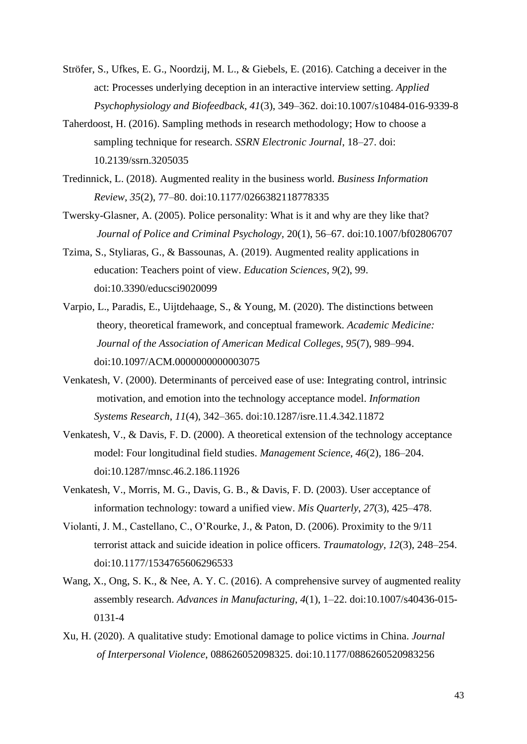- Ströfer, S., Ufkes, E. G., Noordzij, M. L., & Giebels, E. (2016). Catching a deceiver in the act: Processes underlying deception in an interactive interview setting. *Applied Psychophysiology and Biofeedback*, *41*(3), 349–362. doi:10.1007/s10484-016-9339-8
- Taherdoost, H. (2016). Sampling methods in research methodology; How to choose a sampling technique for research. *SSRN Electronic Journal*, 18–27. doi: 10.2139/ssrn.3205035
- Tredinnick, L. (2018). Augmented reality in the business world. *Business Information Review*, *35*(2), 77–80. doi:10.1177/0266382118778335
- Twersky-Glasner, A. (2005). Police personality: What is it and why are they like that? *Journal of Police and Criminal Psychology,* 20(1), 56–67. doi:10.1007/bf02806707
- Tzima, S., Styliaras, G., & Bassounas, A. (2019). Augmented reality applications in education: Teachers point of view. *Education Sciences*, *9*(2), 99. doi:10.3390/educsci9020099
- Varpio, L., Paradis, E., Uijtdehaage, S., & Young, M. (2020). The distinctions between theory, theoretical framework, and conceptual framework. *Academic Medicine: Journal of the Association of American Medical Colleges*, *95*(7), 989–994. doi:10.1097/ACM.0000000000003075
- Venkatesh, V. (2000). Determinants of perceived ease of use: Integrating control, intrinsic motivation, and emotion into the technology acceptance model. *Information Systems Research*, *11*(4), 342–365. doi:10.1287/isre.11.4.342.11872
- Venkatesh, V., & Davis, F. D. (2000). A theoretical extension of the technology acceptance model: Four longitudinal field studies. *Management Science*, *46*(2), 186–204. doi:10.1287/mnsc.46.2.186.11926
- Venkatesh, V., Morris, M. G., Davis, G. B., & Davis, F. D. (2003). User acceptance of information technology: toward a unified view. *Mis Quarterly*, *27*(3), 425–478.
- Violanti, J. M., Castellano, C., O'Rourke, J., & Paton, D. (2006). Proximity to the 9/11 terrorist attack and suicide ideation in police officers. *Traumatology*, *12*(3), 248–254. doi:10.1177/1534765606296533
- Wang, X., Ong, S. K., & Nee, A. Y. C. (2016). A comprehensive survey of augmented reality assembly research. *Advances in Manufacturing*, *4*(1), 1–22. doi:10.1007/s40436-015- 0131-4
- Xu, H. (2020). A qualitative study: Emotional damage to police victims in China. *Journal of Interpersonal Violence*, 088626052098325. doi:10.1177/0886260520983256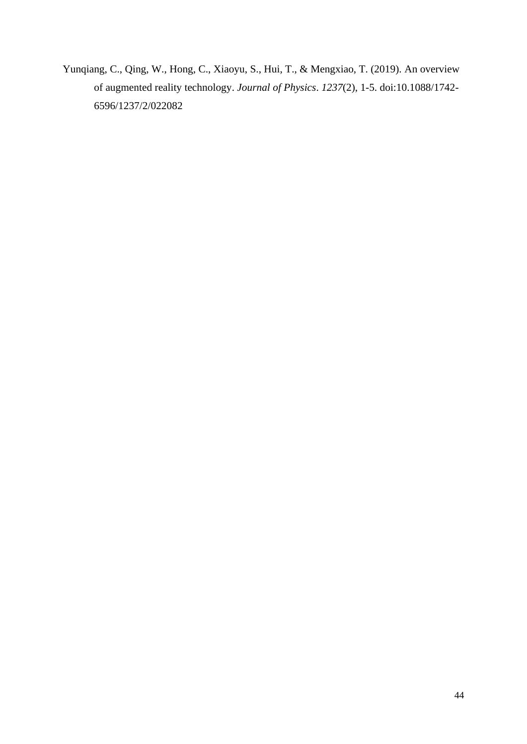Yunqiang, C., Qing, W., Hong, C., Xiaoyu, S., Hui, T., & Mengxiao, T. (2019). An overview of augmented reality technology. *Journal of Physics*. *1237*(2), 1-5. doi:10.1088/1742- 6596/1237/2/022082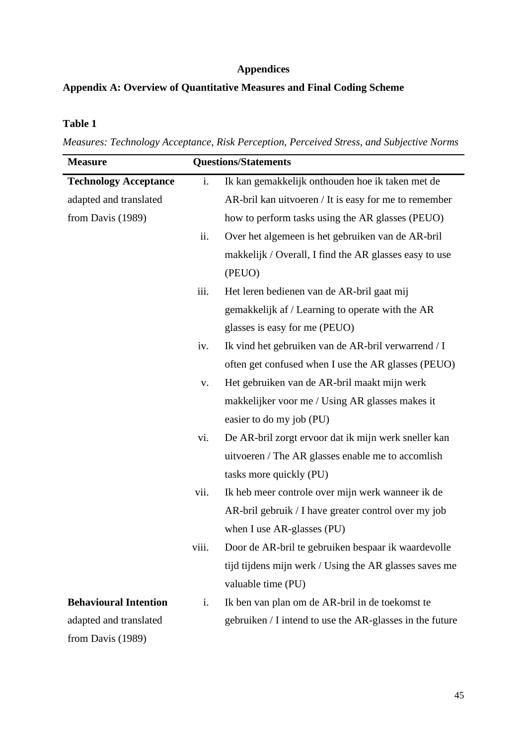# **Appendices**

# **Appendix A: Overview of Quantitative Measures and Final Coding Scheme**

# **Table 1**

*Measures: Technology Acceptance, Risk Perception, Perceived Stress, and Subjective Norms*

| <b>Measure</b>               |                | <b>Questions/Statements</b>                              |
|------------------------------|----------------|----------------------------------------------------------|
| <b>Technology Acceptance</b> | i.             | Ik kan gemakkelijk onthouden hoe ik taken met de         |
| adapted and translated       |                | AR-bril kan uitvoeren / It is easy for me to remember    |
| from Davis (1989)            |                | how to perform tasks using the AR glasses (PEUO)         |
|                              | ii.            | Over het algemeen is het gebruiken van de AR-bril        |
|                              |                | makkelijk / Overall, I find the AR glasses easy to use   |
|                              |                | (PEUO)                                                   |
|                              | iii.           | Het leren bedienen van de AR-bril gaat mij               |
|                              |                | gemakkelijk af / Learning to operate with the AR         |
|                              |                | glasses is easy for me (PEUO)                            |
|                              | iv.            | Ik vind het gebruiken van de AR-bril verwarrend / I      |
|                              |                | often get confused when I use the AR glasses (PEUO)      |
|                              | $\mathbf{V}$ . | Het gebruiken van de AR-bril maakt mijn werk             |
|                              |                | makkelijker voor me / Using AR glasses makes it          |
|                              |                | easier to do my job (PU)                                 |
|                              | vi.            | De AR-bril zorgt ervoor dat ik mijn werk sneller kan     |
|                              |                | uitvoeren / The AR glasses enable me to accomlish        |
|                              |                | tasks more quickly (PU)                                  |
|                              | vii.           | Ik heb meer controle over mijn werk wanneer ik de        |
|                              |                | AR-bril gebruik / I have greater control over my job     |
|                              |                | when I use AR-glasses (PU)                               |
|                              | viii.          | Door de AR-bril te gebruiken bespaar ik waardevolle      |
|                              |                | tijd tijdens mijn werk / Using the AR glasses saves me   |
|                              |                | valuable time (PU)                                       |
| <b>Behavioural Intention</b> | i.             | Ik ben van plan om de AR-bril in de toekomst te          |
| adapted and translated       |                | gebruiken / I intend to use the AR-glasses in the future |
| from Davis (1989)            |                |                                                          |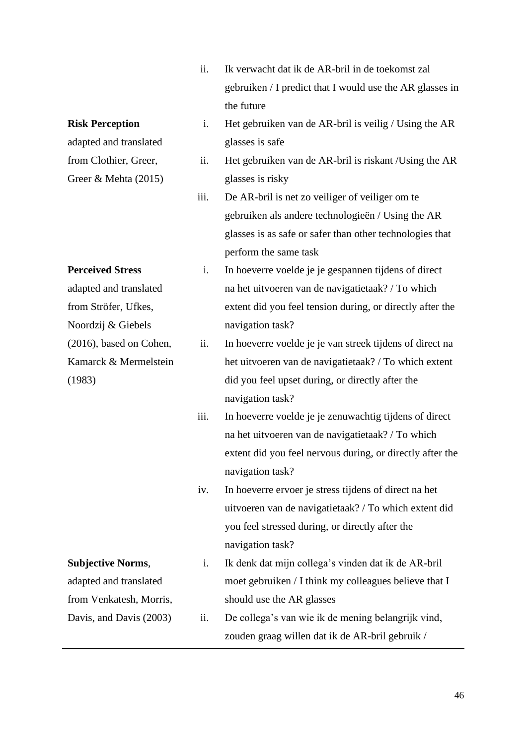- ii. Ik verwacht dat ik de AR-bril in de toekomst zal gebruiken / I predict that I would use the AR glasses in the future
- i. Het gebruiken van de AR-bril is veilig / Using the AR glasses is safe
- ii. Het gebruiken van de AR-bril is riskant /Using the AR glasses is risky
- iii. De AR-bril is net zo veiliger of veiliger om te gebruiken als andere technologieën / Using the AR glasses is as safe or safer than other technologies that perform the same task
- i. In hoeverre voelde je je gespannen tijdens of direct na het uitvoeren van de navigatietaak? / To which extent did you feel tension during, or directly after the navigation task?
	- ii. In hoeverre voelde je je van streek tijdens of direct na het uitvoeren van de navigatietaak? / To which extent did you feel upset during, or directly after the navigation task?
- iii. In hoeverre voelde je je zenuwachtig tijdens of direct na het uitvoeren van de navigatietaak? / To which extent did you feel nervous during, or directly after the navigation task?
- iv. In hoeverre ervoer je stress tijdens of direct na het uitvoeren van de navigatietaak? / To which extent did you feel stressed during, or directly after the navigation task?
- from Venkatesh, Morris, Davis, and Davis (2003) i. Ik denk dat mijn collega's vinden dat ik de AR-bril moet gebruiken / I think my colleagues believe that I should use the AR glasses
	- ii. De collega's van wie ik de mening belangrijk vind, zouden graag willen dat ik de AR-bril gebruik /

# **Risk Perception**

adapted and translated from Clothier, Greer, Greer & Mehta (2015)

# **Perceived Stress**

adapted and translated from Ströfer, Ufkes, Noordzij & Giebels (2016), based on Cohen, Kamarck & Mermelstein (1983)

**Subjective Norms**,

adapted and translated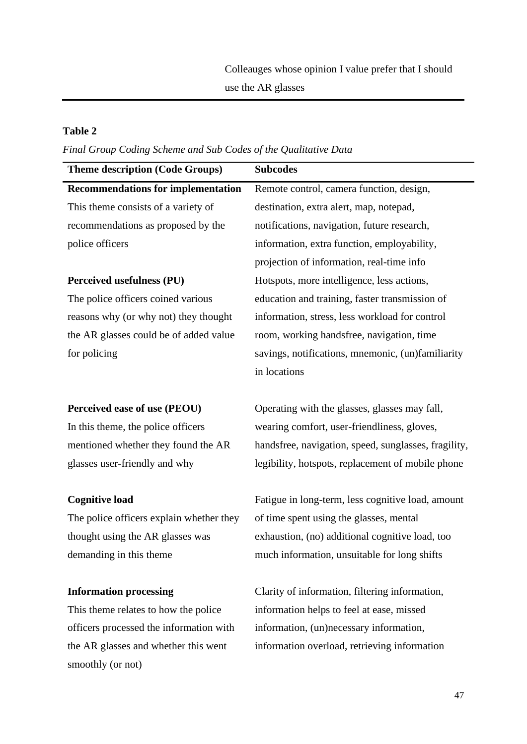# **Table 2**

smoothly (or not)

*Final Group Coding Scheme and Sub Codes of the Qualitative Data* 

| <b>Theme description (Code Groups)</b>    | <b>Subcodes</b>                                      |
|-------------------------------------------|------------------------------------------------------|
| <b>Recommendations for implementation</b> | Remote control, camera function, design,             |
| This theme consists of a variety of       | destination, extra alert, map, notepad,              |
| recommendations as proposed by the        | notifications, navigation, future research,          |
| police officers                           | information, extra function, employability,          |
|                                           | projection of information, real-time info            |
| Perceived usefulness (PU)                 | Hotspots, more intelligence, less actions,           |
| The police officers coined various        | education and training, faster transmission of       |
| reasons why (or why not) they thought     | information, stress, less workload for control       |
| the AR glasses could be of added value    | room, working handsfree, navigation, time            |
| for policing                              | savings, notifications, mnemonic, (un)familiarity    |
|                                           | in locations                                         |
|                                           |                                                      |
| Perceived ease of use (PEOU)              | Operating with the glasses, glasses may fall,        |
| In this theme, the police officers        | wearing comfort, user-friendliness, gloves,          |
| mentioned whether they found the AR       | handsfree, navigation, speed, sunglasses, fragility, |
| glasses user-friendly and why             | legibility, hotspots, replacement of mobile phone    |
|                                           |                                                      |
| <b>Cognitive load</b>                     | Fatigue in long-term, less cognitive load, amount    |
| The police officers explain whether they  | of time spent using the glasses, mental              |
| thought using the AR glasses was          | exhaustion, (no) additional cognitive load, too      |
| demanding in this theme.                  | much information, unsuitable for long shifts         |
|                                           |                                                      |
| <b>Information processing</b>             | Clarity of information, filtering information,       |
| This theme relates to how the police      | information helps to feel at ease, missed            |
| officers processed the information with   | information, (un)necessary information,              |
| the AR glasses and whether this went      | information overload, retrieving information         |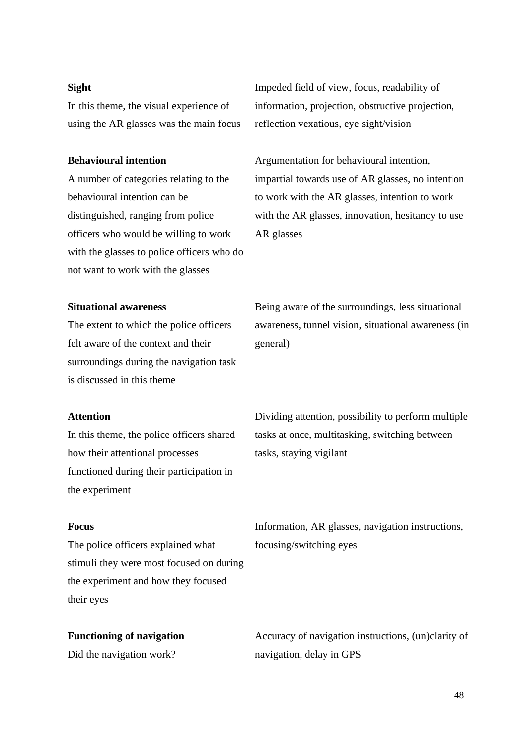# **Sight**

In this theme, the visual experience of using the AR glasses was the main focus

# **Behavioural intention**

A number of categories relating to the behavioural intention can be distinguished, ranging from police officers who would be willing to work with the glasses to police officers who do not want to work with the glasses

Impeded field of view, focus, readability of information, projection, obstructive projection, reflection vexatious, eye sight/vision

Argumentation for behavioural intention, impartial towards use of AR glasses, no intention to work with the AR glasses, intention to work with the AR glasses, innovation, hesitancy to use AR glasses

# **Situational awareness**

The extent to which the police officers felt aware of the context and their surroundings during the navigation task is discussed in this theme

Being aware of the surroundings, less situational awareness, tunnel vision, situational awareness (in general)

#### **Attention**

In this theme, the police officers shared how their attentional processes functioned during their participation in the experiment

# **Focus**

The police officers explained what stimuli they were most focused on during the experiment and how they focused their eyes

**Functioning of navigation** Did the navigation work?

Dividing attention, possibility to perform multiple tasks at once, multitasking, switching between tasks, staying vigilant

Information, AR glasses, navigation instructions, focusing/switching eyes

Accuracy of navigation instructions, (un)clarity of navigation, delay in GPS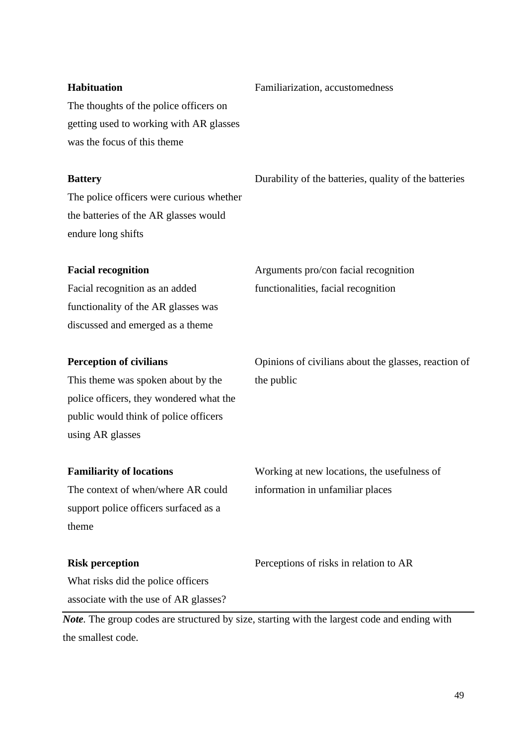# **Habituation**

The thoughts of the police officers on getting used to working with AR glasses was the focus of this theme

# **Battery**

The police officers were curious whether the batteries of the AR glasses would endure long shifts

Durability of the batteries, quality of the batteries

Familiarization, accustomedness

# **Facial recognition**

Facial recognition as an added functionality of the AR glasses was discussed and emerged as a theme

# **Perception of civilians**

This theme was spoken about by the police officers, they wondered what the public would think of police officers using AR glasses

# **Familiarity of locations**

The context of when/where AR could support police officers surfaced as a theme

# the public

Opinions of civilians about the glasses, reaction of

Arguments pro/con facial recognition

functionalities, facial recognition

Working at new locations, the usefulness of information in unfamiliar places

# **Risk perception**

Perceptions of risks in relation to AR

What risks did the police officers associate with the use of AR glasses?

*Note.* The group codes are structured by size, starting with the largest code and ending with the smallest code.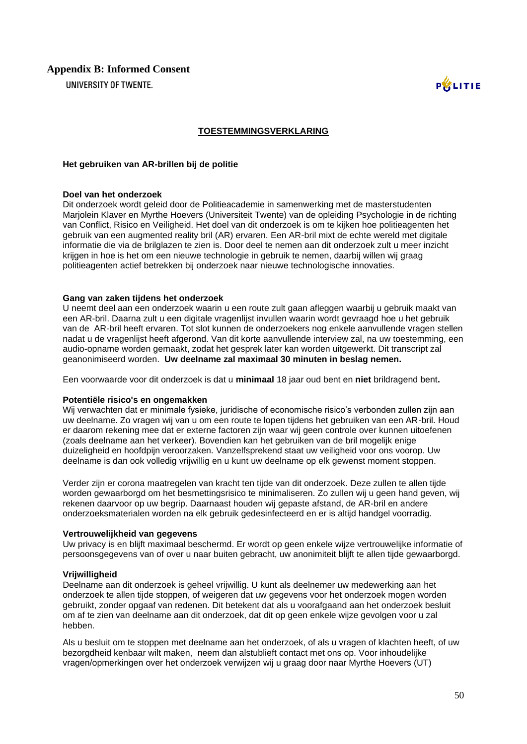UNIVERSITY OF TWENTE.



#### **TOESTEMMINGSVERKLARING**

#### **Het gebruiken van AR-brillen bij de politie**

#### **Doel van het onderzoek**

Dit onderzoek wordt geleid door de Politieacademie in samenwerking met de masterstudenten Marjolein Klaver en Myrthe Hoevers (Universiteit Twente) van de opleiding Psychologie in de richting van Conflict, Risico en Veiligheid. Het doel van dit onderzoek is om te kijken hoe politieagenten het gebruik van een augmented reality bril (AR) ervaren. Een AR-bril mixt de echte wereld met digitale informatie die via de brilglazen te zien is. Door deel te nemen aan dit onderzoek zult u meer inzicht krijgen in hoe is het om een nieuwe technologie in gebruik te nemen, daarbij willen wij graag politieagenten actief betrekken bij onderzoek naar nieuwe technologische innovaties.

#### **Gang van zaken tijdens het onderzoek**

U neemt deel aan een onderzoek waarin u een route zult gaan afleggen waarbij u gebruik maakt van een AR-bril. Daarna zult u een digitale vragenlijst invullen waarin wordt gevraagd hoe u het gebruik van de AR-bril heeft ervaren. Tot slot kunnen de onderzoekers nog enkele aanvullende vragen stellen nadat u de vragenlijst heeft afgerond. Van dit korte aanvullende interview zal, na uw toestemming, een audio-opname worden gemaakt, zodat het gesprek later kan worden uitgewerkt. Dit transcript zal geanonimiseerd worden. **Uw deelname zal maximaal 30 minuten in beslag nemen.**

Een voorwaarde voor dit onderzoek is dat u **minimaal** 18 jaar oud bent en **niet** brildragend bent**.**

#### **Potentiële risico's en ongemakken**

Wij verwachten dat er minimale fysieke, juridische of economische risico's verbonden zullen zijn aan uw deelname. Zo vragen wij van u om een route te lopen tijdens het gebruiken van een AR-bril. Houd er daarom rekening mee dat er externe factoren zijn waar wij geen controle over kunnen uitoefenen (zoals deelname aan het verkeer). Bovendien kan het gebruiken van de bril mogelijk enige duizeligheid en hoofdpijn veroorzaken. Vanzelfsprekend staat uw veiligheid voor ons voorop. Uw deelname is dan ook volledig vrijwillig en u kunt uw deelname op elk gewenst moment stoppen.

Verder zijn er corona maatregelen van kracht ten tijde van dit onderzoek. Deze zullen te allen tijde worden gewaarborgd om het besmettingsrisico te minimaliseren. Zo zullen wij u geen hand geven, wij rekenen daarvoor op uw begrip. Daarnaast houden wij gepaste afstand, de AR-bril en andere onderzoeksmaterialen worden na elk gebruik gedesinfecteerd en er is altijd handgel voorradig.

#### **Vertrouwelijkheid van gegevens**

Uw privacy is en blijft maximaal beschermd. Er wordt op geen enkele wijze vertrouwelijke informatie of persoonsgegevens van of over u naar buiten gebracht, uw anonimiteit blijft te allen tijde gewaarborgd.

#### **Vrijwilligheid**

Deelname aan dit onderzoek is geheel vrijwillig. U kunt als deelnemer uw medewerking aan het onderzoek te allen tijde stoppen, of weigeren dat uw gegevens voor het onderzoek mogen worden gebruikt, zonder opgaaf van redenen. Dit betekent dat als u voorafgaand aan het onderzoek besluit om af te zien van deelname aan dit onderzoek, dat dit op geen enkele wijze gevolgen voor u zal hebben.

Als u besluit om te stoppen met deelname aan het onderzoek, of als u vragen of klachten heeft, of uw bezorgdheid kenbaar wilt maken, neem dan alstublieft contact met ons op. Voor inhoudelijke vragen/opmerkingen over het onderzoek verwijzen wij u graag door naar Myrthe Hoevers (UT)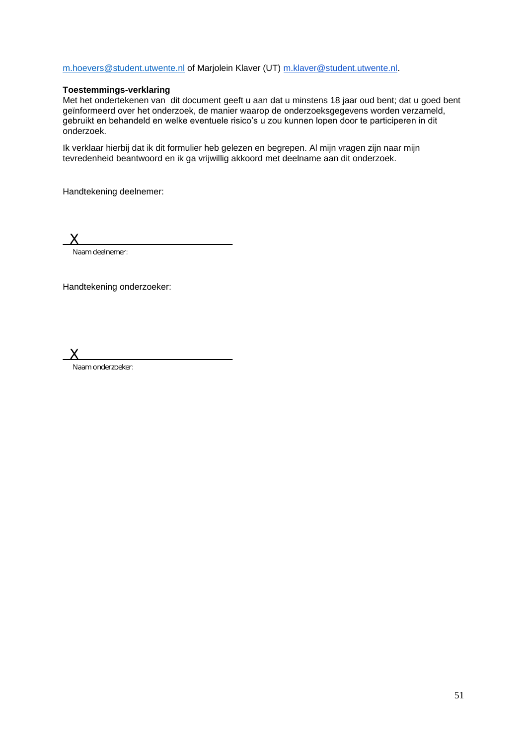#### [m.hoevers@student.utwente.nl](mailto:m.hoevers@student.utwente.nl) of Marjolein Klaver (UT) [m.klaver@student.utwente.nl.](mailto:m.klaver@student.utwente.nl)

# **Toestemmings-verklaring**

Met het ondertekenen van dit document geeft u aan dat u minstens 18 jaar oud bent; dat u goed bent geïnformeerd over het onderzoek, de manier waarop de onderzoeksgegevens worden verzameld, gebruikt en behandeld en welke eventuele risico's u zou kunnen lopen door te participeren in dit onderzoek.

Ik verklaar hierbij dat ik dit formulier heb gelezen en begrepen. Al mijn vragen zijn naar mijn tevredenheid beantwoord en ik ga vrijwillig akkoord met deelname aan dit onderzoek.

Handtekening deelnemer:

Naam deelnemer:

Handtekening onderzoeker:

X

Naam onderzoeker: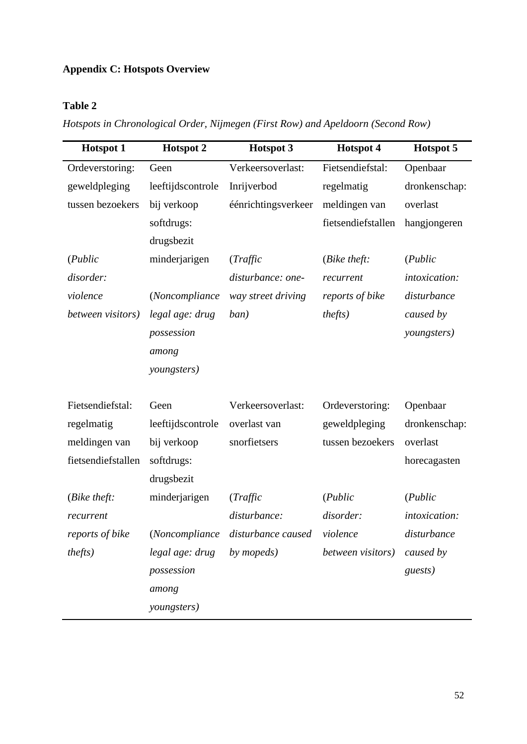# **Appendix C: Hotspots Overview**

# **Table 2**

*Hotspots in Chronological Order, Nijmegen (First Row) and Apeldoorn (Second Row)*

| <b>Hotspot 1</b>      | <b>Hotspot 2</b>  | <b>Hotspot 3</b>    | <b>Hotspot 4</b>     | Hotspot 5     |
|-----------------------|-------------------|---------------------|----------------------|---------------|
| Ordeverstoring:       | Geen              | Verkeersoverlast:   | Fietsendiefstal:     | Openbaar      |
| geweldpleging         | leeftijdscontrole | Inrijverbod         | regelmatig           | dronkenschap: |
| tussen bezoekers      | bij verkoop       | éénrichtingsverkeer | meldingen van        | overlast      |
|                       | softdrugs:        |                     | fietsendiefstallen   | hangjongeren  |
|                       | drugsbezit        |                     |                      |               |
| (Public)              | minderjarigen     | (Traffic            | ( <i>Bike theft:</i> | (Public)      |
| disorder:             |                   | disturbance: one-   | recurrent            | intoxication: |
| violence              | (Noncompliance    | way street driving  | reports of bike      | disturbance   |
| between visitors)     | legal age: drug   | ban)                | <i>thefts</i> )      | caused by     |
|                       | possession        |                     |                      | youngsters)   |
|                       | among             |                     |                      |               |
|                       | youngsters)       |                     |                      |               |
|                       |                   |                     |                      |               |
| Fietsendiefstal:      | Geen              | Verkeersoverlast:   | Ordeverstoring:      | Openbaar      |
| regelmatig            | leeftijdscontrole | overlast van        | geweldpleging        | dronkenschap: |
| meldingen van         | bij verkoop       | snorfietsers        | tussen bezoekers     | overlast      |
| fietsendiefstallen    | softdrugs:        |                     |                      | horecagasten  |
|                       | drugsbezit        |                     |                      |               |
| ( <i>Bike theft</i> : | minderjarigen     | (Traffic            | (Public)             | (Public)      |
| recurrent             |                   | disturbance:        | disorder:            | intoxication: |
| reports of bike       | (Noncompliance    | disturbance caused  | violence             | disturbance   |
| <i>thefts</i> )       | legal age: drug   | by <i>mopeds</i> )  | between visitors)    | caused by     |
|                       | possession        |                     |                      | guests)       |
|                       | among             |                     |                      |               |
|                       | youngsters)       |                     |                      |               |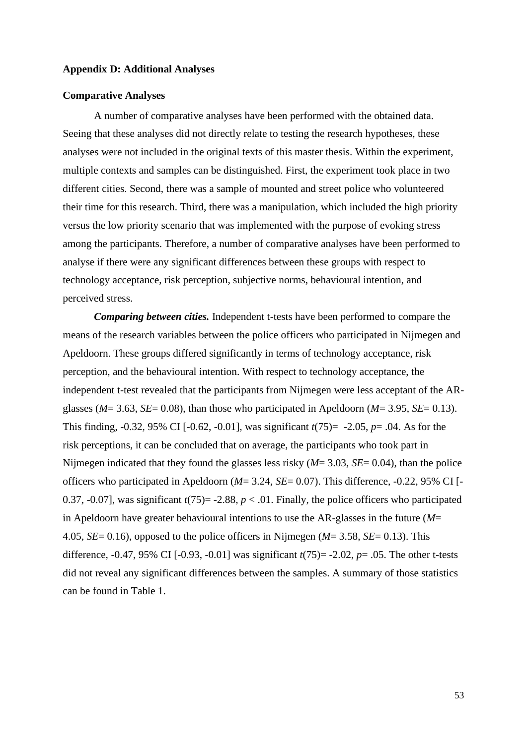#### **Appendix D: Additional Analyses**

# **Comparative Analyses**

A number of comparative analyses have been performed with the obtained data. Seeing that these analyses did not directly relate to testing the research hypotheses, these analyses were not included in the original texts of this master thesis. Within the experiment, multiple contexts and samples can be distinguished. First, the experiment took place in two different cities. Second, there was a sample of mounted and street police who volunteered their time for this research. Third, there was a manipulation, which included the high priority versus the low priority scenario that was implemented with the purpose of evoking stress among the participants. Therefore, a number of comparative analyses have been performed to analyse if there were any significant differences between these groups with respect to technology acceptance, risk perception, subjective norms, behavioural intention, and perceived stress.

*Comparing between cities.* Independent t-tests have been performed to compare the means of the research variables between the police officers who participated in Nijmegen and Apeldoorn. These groups differed significantly in terms of technology acceptance, risk perception, and the behavioural intention. With respect to technology acceptance, the independent t-test revealed that the participants from Nijmegen were less acceptant of the ARglasses (*M*= 3.63, *SE*= 0.08), than those who participated in Apeldoorn (*M*= 3.95, *SE*= 0.13). This finding, -0.32, 95% CI [-0.62, -0.01], was significant *t*(75)= -2.05, *p*= .04. As for the risk perceptions, it can be concluded that on average, the participants who took part in Nijmegen indicated that they found the glasses less risky (*M*= 3.03, *SE*= 0.04), than the police officers who participated in Apeldoorn (*M*= 3.24, *SE*= 0.07). This difference, -0.22, 95% CI [- 0.37, -0.07], was significant  $t(75)$  = -2.88,  $p < .01$ . Finally, the police officers who participated in Apeldoorn have greater behavioural intentions to use the AR-glasses in the future (*M*= 4.05, *SE*= 0.16), opposed to the police officers in Nijmegen (*M*= 3.58, *SE*= 0.13). This difference, -0.47, 95% CI [-0.93, -0.01] was significant *t*(75)= -2.02, *p*= .05. The other t-tests did not reveal any significant differences between the samples. A summary of those statistics can be found in Table 1.